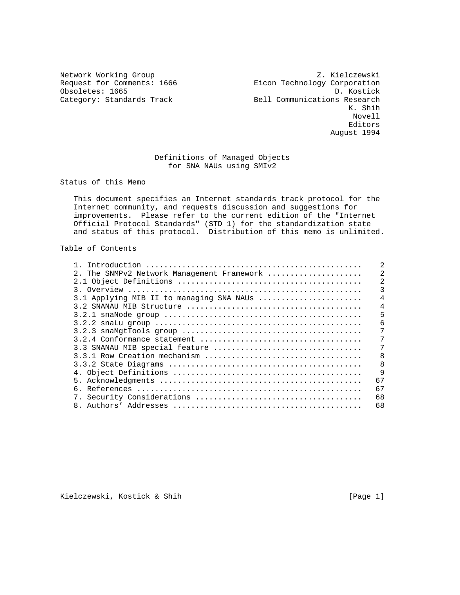Network Working Group Z. Kielczewski Request for Comments: 1666 Eicon Technology Corporation Obsoletes: 1665 D. Kostick Category: Standards Track Bell Communications Research Bell Communications Research K. Shih Novell experiences and the contract of the contract of the contract of the contract of the contract of the contract of the contract of the contract of the contract of the contract of the contract of the contract of the contract o August 1994

# Definitions of Managed Objects for SNA NAUs using SMIv2

Status of this Memo

 This document specifies an Internet standards track protocol for the Internet community, and requests discussion and suggestions for improvements. Please refer to the current edition of the "Internet Official Protocol Standards" (STD 1) for the standardization state and status of this protocol. Distribution of this memo is unlimited.

## Table of Contents

| 2. The SNMPv2 Network Management Framework | $\mathfrak{D}$ |
|--------------------------------------------|----------------|
|                                            | $\mathfrak{D}$ |
|                                            |                |
| 3.1 Applying MIB II to managing SNA NAUs   | $\overline{4}$ |
|                                            | 4              |
|                                            | 5              |
|                                            | 6              |
|                                            |                |
|                                            |                |
| 3.3 SNANAU MIB special feature             | 7              |
|                                            | 8              |
|                                            | 8              |
|                                            | $\mathsf{Q}$   |
|                                            | 67             |
|                                            | 67             |
|                                            | 68             |
|                                            | 68             |

Kielczewski, Kostick & Shih [Page 1]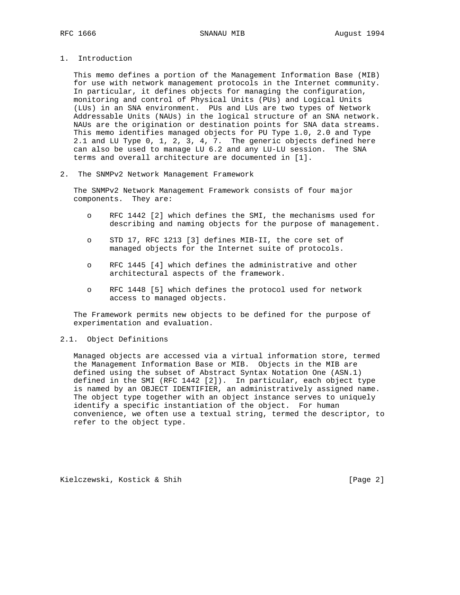- 
- 1. Introduction

 This memo defines a portion of the Management Information Base (MIB) for use with network management protocols in the Internet community. In particular, it defines objects for managing the configuration, monitoring and control of Physical Units (PUs) and Logical Units (LUs) in an SNA environment. PUs and LUs are two types of Network Addressable Units (NAUs) in the logical structure of an SNA network. NAUs are the origination or destination points for SNA data streams. This memo identifies managed objects for PU Type 1.0, 2.0 and Type 2.1 and LU Type 0, 1, 2, 3, 4, 7. The generic objects defined here can also be used to manage LU 6.2 and any LU-LU session. The SNA terms and overall architecture are documented in [1].

2. The SNMPv2 Network Management Framework

 The SNMPv2 Network Management Framework consists of four major components. They are:

- o RFC 1442 [2] which defines the SMI, the mechanisms used for describing and naming objects for the purpose of management.
- o STD 17, RFC 1213 [3] defines MIB-II, the core set of managed objects for the Internet suite of protocols.
- o RFC 1445 [4] which defines the administrative and other architectural aspects of the framework.
- o RFC 1448 [5] which defines the protocol used for network access to managed objects.

 The Framework permits new objects to be defined for the purpose of experimentation and evaluation.

## 2.1. Object Definitions

 Managed objects are accessed via a virtual information store, termed the Management Information Base or MIB. Objects in the MIB are defined using the subset of Abstract Syntax Notation One (ASN.1) defined in the SMI (RFC 1442 [2]). In particular, each object type is named by an OBJECT IDENTIFIER, an administratively assigned name. The object type together with an object instance serves to uniquely identify a specific instantiation of the object. For human convenience, we often use a textual string, termed the descriptor, to refer to the object type.

Kielczewski, Kostick & Shih [Page 2]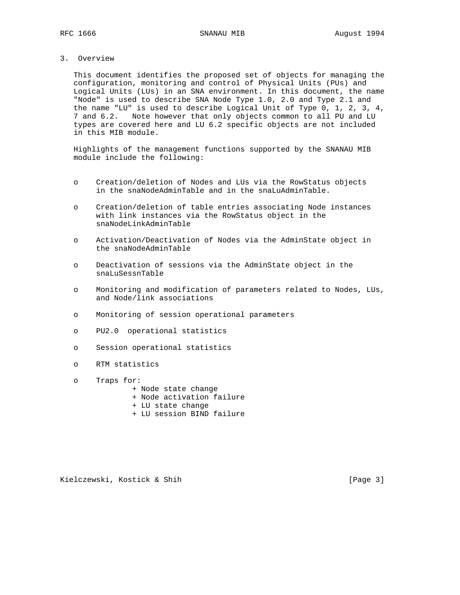## 3. Overview

 This document identifies the proposed set of objects for managing the configuration, monitoring and control of Physical Units (PUs) and Logical Units (LUs) in an SNA environment. In this document, the name "Node" is used to describe SNA Node Type 1.0, 2.0 and Type 2.1 and the name "LU" is used to describe Logical Unit of Type 0, 1, 2, 3, 4, 7 and 6.2. Note however that only objects common to all PU and LU types are covered here and LU 6.2 specific objects are not included in this MIB module.

 Highlights of the management functions supported by the SNANAU MIB module include the following:

- o Creation/deletion of Nodes and LUs via the RowStatus objects in the snaNodeAdminTable and in the snaLuAdminTable.
- o Creation/deletion of table entries associating Node instances with link instances via the RowStatus object in the snaNodeLinkAdminTable
- o Activation/Deactivation of Nodes via the AdminState object in the snaNodeAdminTable
- o Deactivation of sessions via the AdminState object in the snaLuSessnTable
- o Monitoring and modification of parameters related to Nodes, LUs, and Node/link associations
- o Monitoring of session operational parameters
- o PU2.0 operational statistics
- o Session operational statistics
- o RTM statistics
- o Traps for:
	- + Node state change
	- + Node activation failure
	- + LU state change
	- + LU session BIND failure

Kielczewski, Kostick & Shih [Page 3]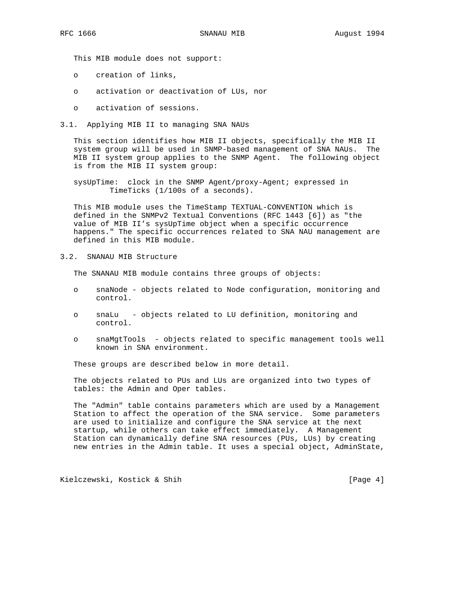This MIB module does not support:

- o creation of links,
- o activation or deactivation of LUs, nor
- o activation of sessions.
- 3.1. Applying MIB II to managing SNA NAUs

 This section identifies how MIB II objects, specifically the MIB II system group will be used in SNMP-based management of SNA NAUs. The MIB II system group applies to the SNMP Agent. The following object is from the MIB II system group:

 sysUpTime: clock in the SNMP Agent/proxy-Agent; expressed in TimeTicks (1/100s of a seconds).

 This MIB module uses the TimeStamp TEXTUAL-CONVENTION which is defined in the SNMPv2 Textual Conventions (RFC 1443 [6]) as "the value of MIB II's sysUpTime object when a specific occurrence happens." The specific occurrences related to SNA NAU management are defined in this MIB module.

3.2. SNANAU MIB Structure

The SNANAU MIB module contains three groups of objects:

- o snaNode objects related to Node configuration, monitoring and control.
- o snaLu objects related to LU definition, monitoring and control.
- o snaMgtTools objects related to specific management tools well known in SNA environment.

These groups are described below in more detail.

 The objects related to PUs and LUs are organized into two types of tables: the Admin and Oper tables.

 The "Admin" table contains parameters which are used by a Management Station to affect the operation of the SNA service. Some parameters are used to initialize and configure the SNA service at the next startup, while others can take effect immediately. A Management Station can dynamically define SNA resources (PUs, LUs) by creating new entries in the Admin table. It uses a special object, AdminState,

Kielczewski, Kostick & Shih [Page 4]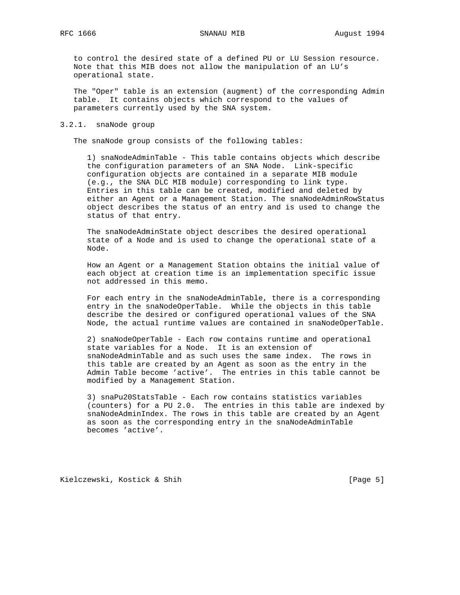to control the desired state of a defined PU or LU Session resource. Note that this MIB does not allow the manipulation of an LU's operational state.

 The "Oper" table is an extension (augment) of the corresponding Admin table. It contains objects which correspond to the values of parameters currently used by the SNA system.

### 3.2.1. snaNode group

The snaNode group consists of the following tables:

 1) snaNodeAdminTable - This table contains objects which describe the configuration parameters of an SNA Node. Link-specific configuration objects are contained in a separate MIB module (e.g., the SNA DLC MIB module) corresponding to link type. Entries in this table can be created, modified and deleted by either an Agent or a Management Station. The snaNodeAdminRowStatus object describes the status of an entry and is used to change the status of that entry.

 The snaNodeAdminState object describes the desired operational state of a Node and is used to change the operational state of a Node.

 How an Agent or a Management Station obtains the initial value of each object at creation time is an implementation specific issue not addressed in this memo.

 For each entry in the snaNodeAdminTable, there is a corresponding entry in the snaNodeOperTable. While the objects in this table describe the desired or configured operational values of the SNA Node, the actual runtime values are contained in snaNodeOperTable.

 2) snaNodeOperTable - Each row contains runtime and operational state variables for a Node. It is an extension of snaNodeAdminTable and as such uses the same index. The rows in this table are created by an Agent as soon as the entry in the Admin Table become 'active'. The entries in this table cannot be modified by a Management Station.

 3) snaPu20StatsTable - Each row contains statistics variables (counters) for a PU 2.0. The entries in this table are indexed by snaNodeAdminIndex. The rows in this table are created by an Agent as soon as the corresponding entry in the snaNodeAdminTable becomes 'active'.

Kielczewski, Kostick & Shih [Page 5]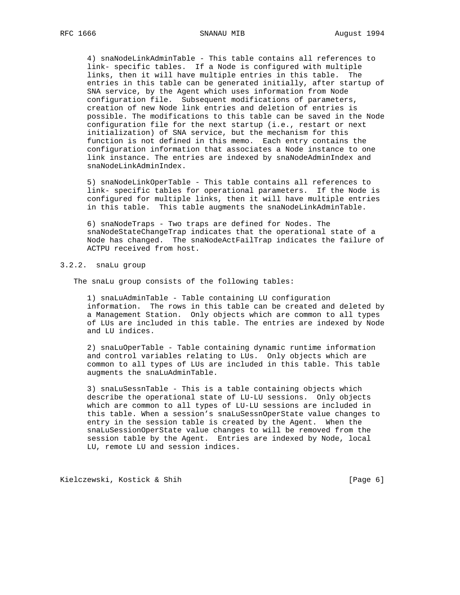4) snaNodeLinkAdminTable - This table contains all references to link- specific tables. If a Node is configured with multiple links, then it will have multiple entries in this table. The entries in this table can be generated initially, after startup of SNA service, by the Agent which uses information from Node configuration file. Subsequent modifications of parameters, creation of new Node link entries and deletion of entries is possible. The modifications to this table can be saved in the Node configuration file for the next startup (i.e., restart or next initialization) of SNA service, but the mechanism for this function is not defined in this memo. Each entry contains the configuration information that associates a Node instance to one link instance. The entries are indexed by snaNodeAdminIndex and snaNodeLinkAdminIndex.

 5) snaNodeLinkOperTable - This table contains all references to link- specific tables for operational parameters. If the Node is configured for multiple links, then it will have multiple entries in this table. This table augments the snaNodeLinkAdminTable.

 6) snaNodeTraps - Two traps are defined for Nodes. The snaNodeStateChangeTrap indicates that the operational state of a Node has changed. The snaNodeActFailTrap indicates the failure of ACTPU received from host.

### 3.2.2. snaLu group

The snaLu group consists of the following tables:

 1) snaLuAdminTable - Table containing LU configuration information. The rows in this table can be created and deleted by a Management Station. Only objects which are common to all types of LUs are included in this table. The entries are indexed by Node and LU indices.

 2) snaLuOperTable - Table containing dynamic runtime information and control variables relating to LUs. Only objects which are common to all types of LUs are included in this table. This table augments the snaLuAdminTable.

 3) snaLuSessnTable - This is a table containing objects which describe the operational state of LU-LU sessions. Only objects which are common to all types of LU-LU sessions are included in this table. When a session's snaLuSessnOperState value changes to entry in the session table is created by the Agent. When the snaLuSessionOperState value changes to will be removed from the session table by the Agent. Entries are indexed by Node, local LU, remote LU and session indices.

Kielczewski, Kostick & Shih [Page 6]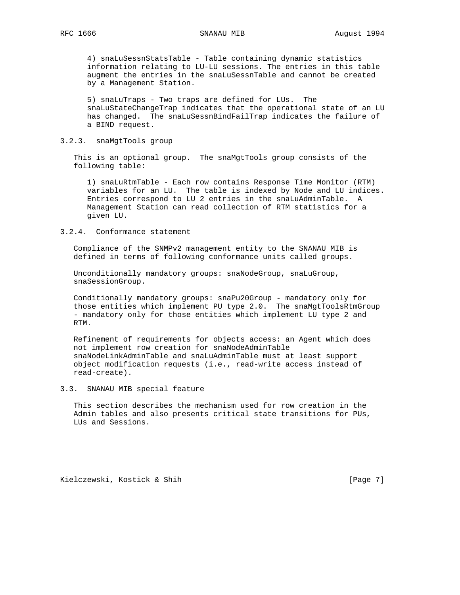4) snaLuSessnStatsTable - Table containing dynamic statistics information relating to LU-LU sessions. The entries in this table augment the entries in the snaLuSessnTable and cannot be created by a Management Station.

 5) snaLuTraps - Two traps are defined for LUs. The snaLuStateChangeTrap indicates that the operational state of an LU has changed. The snaLuSessnBindFailTrap indicates the failure of a BIND request.

### 3.2.3. snaMgtTools group

 This is an optional group. The snaMgtTools group consists of the following table:

 1) snaLuRtmTable - Each row contains Response Time Monitor (RTM) variables for an LU. The table is indexed by Node and LU indices. Entries correspond to LU 2 entries in the snaLuAdminTable. A Management Station can read collection of RTM statistics for a given LU.

### 3.2.4. Conformance statement

 Compliance of the SNMPv2 management entity to the SNANAU MIB is defined in terms of following conformance units called groups.

 Unconditionally mandatory groups: snaNodeGroup, snaLuGroup, snaSessionGroup.

 Conditionally mandatory groups: snaPu20Group - mandatory only for those entities which implement PU type 2.0. The snaMgtToolsRtmGroup - mandatory only for those entities which implement LU type 2 and RTM.

 Refinement of requirements for objects access: an Agent which does not implement row creation for snaNodeAdminTable snaNodeLinkAdminTable and snaLuAdminTable must at least support object modification requests (i.e., read-write access instead of read-create).

### 3.3. SNANAU MIB special feature

 This section describes the mechanism used for row creation in the Admin tables and also presents critical state transitions for PUs, LUs and Sessions.

Kielczewski, Kostick & Shih [Page 7]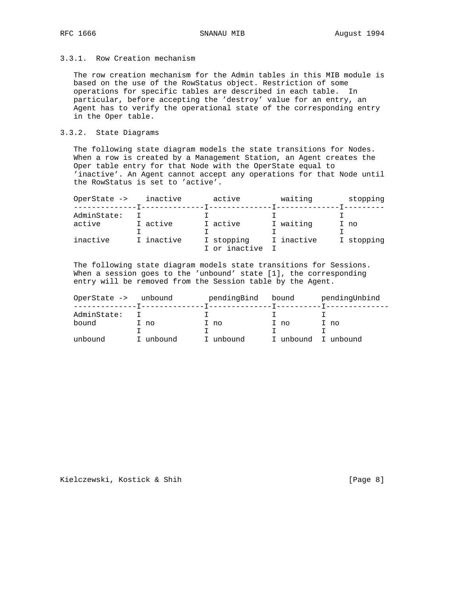# 3.3.1. Row Creation mechanism

 The row creation mechanism for the Admin tables in this MIB module is based on the use of the RowStatus object. Restriction of some operations for specific tables are described in each table. In particular, before accepting the 'destroy' value for an entry, an Agent has to verify the operational state of the corresponding entry in the Oper table.

## 3.3.2. State Diagrams

 The following state diagram models the state transitions for Nodes. When a row is created by a Management Station, an Agent creates the Oper table entry for that Node with the OperState equal to 'inactive'. An Agent cannot accept any operations for that Node until the RowStatus is set to 'active'.

| OperState -><br>--------------T- | inactive   | active                      | waiting    | stopping   |
|----------------------------------|------------|-----------------------------|------------|------------|
| AdminState:<br>active            | I active   | I active                    | I waiting  |            |
|                                  |            |                             |            | I no       |
| inactive                         | I inactive | I stopping<br>I or inactive | I inactive | I stopping |

 The following state diagram models state transitions for Sessions. When a session goes to the 'unbound' state [1], the corresponding entry will be removed from the Session table by the Agent.

|         | OperState -> | unbound   | pendingBind | bound               | pendingUnbind |
|---------|--------------|-----------|-------------|---------------------|---------------|
|         | AdminState:  |           |             |                     |               |
| bound   |              | I no      | I no        | I no                | I no          |
|         |              |           |             |                     |               |
| unbound |              | I unbound | unbound     | I unbound I unbound |               |

Kielczewski, Kostick & Shih [Page 8]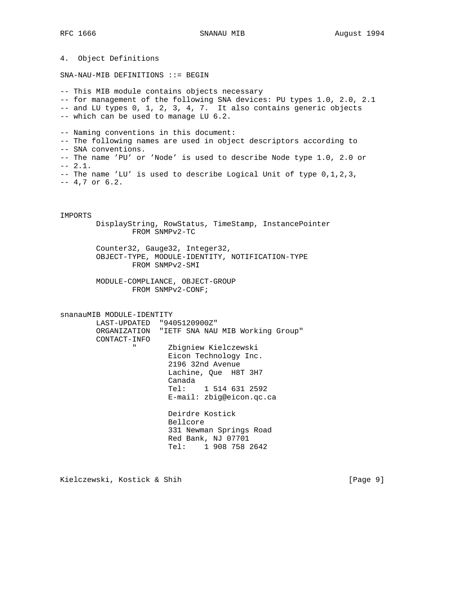4. Object Definitions SNA-NAU-MIB DEFINITIONS ::= BEGIN -- This MIB module contains objects necessary -- for management of the following SNA devices: PU types 1.0, 2.0, 2.1 -- and LU types 0, 1, 2, 3, 4, 7. It also contains generic objects -- which can be used to manage LU 6.2. -- Naming conventions in this document: -- The following names are used in object descriptors according to -- SNA conventions. -- The name 'PU' or 'Node' is used to describe Node type 1.0, 2.0 or  $-- 2.1.$ -- The name 'LU' is used to describe Logical Unit of type 0,1,2,3, -- 4,7 or 6.2. IMPORTS DisplayString, RowStatus, TimeStamp, InstancePointer FROM SNMPv2-TC Counter32, Gauge32, Integer32, OBJECT-TYPE, MODULE-IDENTITY, NOTIFICATION-TYPE FROM SNMPv2-SMI MODULE-COMPLIANCE, OBJECT-GROUP FROM SNMPv2-CONF; snanauMIB MODULE-IDENTITY LAST-UPDATED "9405120900Z" ORGANIZATION "IETF SNA NAU MIB Working Group" CONTACT-INFO " Zbigniew Kielczewski Eicon Technology Inc. 2196 32nd Avenue

Lachine, Que H8T 3H7

 Tel: 1 514 631 2592 E-mail: zbig@eicon.qc.ca

 331 Newman Springs Road Red Bank, NJ 07701 Tel: 1 908 758 2642

Deirdre Kostick

Canada

Bellcore

Kielczewski, Kostick & Shih [Page 9]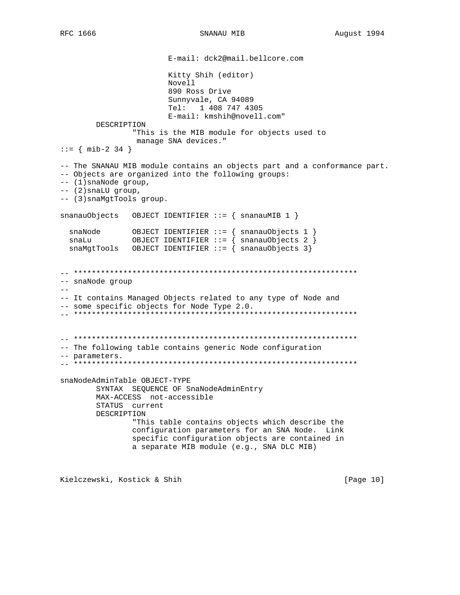SNANAU MIB

E-mail: dck2@mail.bellcore.com Kitty Shih (editor) Novell 890 Ross Drive Sunnyvale, CA 94089 Tel: 1 408 747 4305 E-mail: kmshih@novell.com" DESCRIPTION "This is the MIB module for objects used to manage SNA devices."  $::=$  { mib-2 34 } -- The SNANAU MIB module contains an objects part and a conformance part. -- Objects are organized into the following groups:  $--(1)$  snaNode group,  $--$  (2) snaLU group, -- (3) snaMgtTools group. snanauObjects OBJECT IDENTIFIER ::=  $\{$  snanauMIB 1  $\}$ snaMgtTools OBJECT IDENTIFIER ::=  $\{$  snanauObjects 3} -- snaNode group  $- \, -$ -- It contains Managed Objects related to any type of Node and -- some specific objects for Node Type 2.0. -- The following table contains generic Node configuration -- parameters. snaNodeAdminTable OBJECT-TYPE SYNTAX SEQUENCE OF SnaNodeAdminEntry MAX-ACCESS not-accessible STATUS current DESCRIPTION "This table contains objects which describe the configuration parameters for an SNA Node. Link specific configuration objects are contained in a separate MIB module (e.g., SNA DLC MIB)

Kielczewski, Kostick & Shih

[Page 10]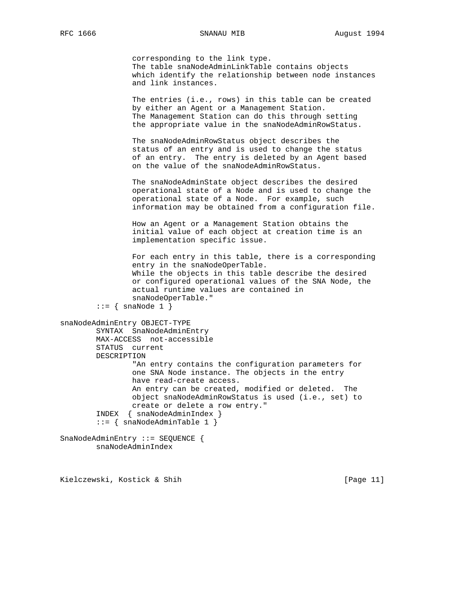corresponding to the link type. The table snaNodeAdminLinkTable contains objects which identify the relationship between node instances and link instances.

 The entries (i.e., rows) in this table can be created by either an Agent or a Management Station. The Management Station can do this through setting the appropriate value in the snaNodeAdminRowStatus.

 The snaNodeAdminRowStatus object describes the status of an entry and is used to change the status of an entry. The entry is deleted by an Agent based on the value of the snaNodeAdminRowStatus.

 The snaNodeAdminState object describes the desired operational state of a Node and is used to change the operational state of a Node. For example, such information may be obtained from a configuration file.

 How an Agent or a Management Station obtains the initial value of each object at creation time is an implementation specific issue.

 For each entry in this table, there is a corresponding entry in the snaNodeOperTable. While the objects in this table describe the desired or configured operational values of the SNA Node, the actual runtime values are contained in snaNodeOperTable."  $::=$  { snaNode 1 }

```
snaNodeAdminEntry OBJECT-TYPE
         SYNTAX SnaNodeAdminEntry
         MAX-ACCESS not-accessible
         STATUS current
         DESCRIPTION
                 "An entry contains the configuration parameters for
                 one SNA Node instance. The objects in the entry
                 have read-create access.
                 An entry can be created, modified or deleted. The
                 object snaNodeAdminRowStatus is used (i.e., set) to
                 create or delete a row entry."
         INDEX { snaNodeAdminIndex }
         ::= { snaNodeAdminTable 1 }
SnaNodeAdminEntry ::= SEQUENCE {
```
snaNodeAdminIndex

Kielczewski, Kostick & Shih [Page 11]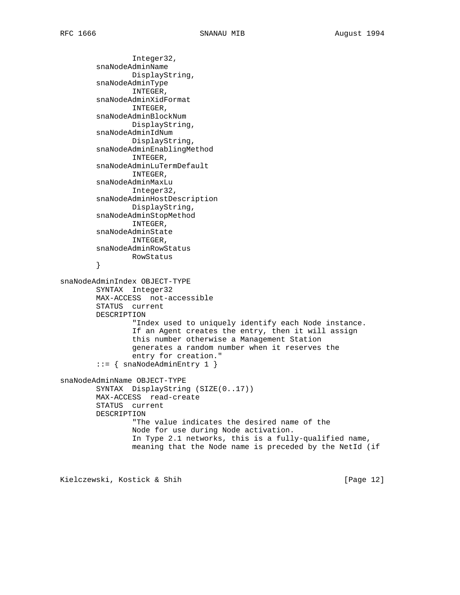Integer32, snaNodeAdminName DisplayString, snaNodeAdminType INTEGER, snaNodeAdminXidFormat INTEGER, snaNodeAdminBlockNum DisplayString, snaNodeAdminIdNum DisplayString, snaNodeAdminEnablingMethod INTEGER, snaNodeAdminLuTermDefault INTEGER, snaNodeAdminMaxLu Integer32, snaNodeAdminHostDescription DisplayString, snaNodeAdminStopMethod INTEGER, snaNodeAdminState INTEGER, snaNodeAdminRowStatus RowStatus } snaNodeAdminIndex OBJECT-TYPE SYNTAX Integer32 MAX-ACCESS not-accessible STATUS current DESCRIPTION "Index used to uniquely identify each Node instance. If an Agent creates the entry, then it will assign this number otherwise a Management Station generates a random number when it reserves the entry for creation."  $::=$  { snaNodeAdminEntry 1 } snaNodeAdminName OBJECT-TYPE SYNTAX DisplayString (SIZE(0..17)) MAX-ACCESS read-create STATUS current DESCRIPTION "The value indicates the desired name of the Node for use during Node activation. In Type 2.1 networks, this is a fully-qualified name, meaning that the Node name is preceded by the NetId (if

Kielczewski, Kostick & Shih [Page 12]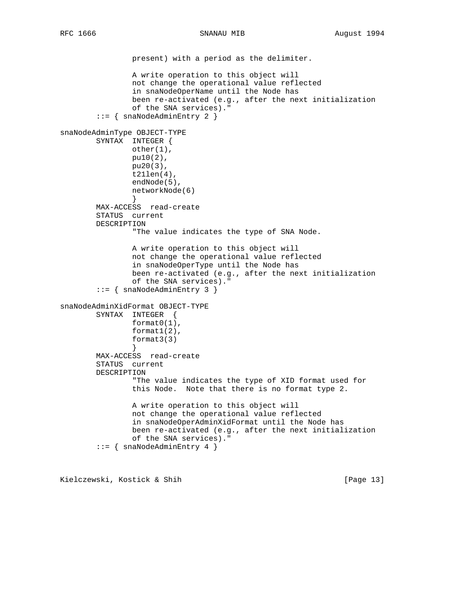present) with a period as the delimiter. A write operation to this object will not change the operational value reflected in snaNodeOperName until the Node has been re-activated (e.g., after the next initialization of the SNA services)." ::= { snaNodeAdminEntry 2 } snaNodeAdminType OBJECT-TYPE SYNTAX INTEGER { other(1), pu10(2), pu20(3), t21len(4), endNode(5), networkNode(6) } MAX-ACCESS read-create STATUS current DESCRIPTION "The value indicates the type of SNA Node. A write operation to this object will not change the operational value reflected in snaNodeOperType until the Node has been re-activated (e.g., after the next initialization of the SNA services)." ::= { snaNodeAdminEntry 3 } snaNodeAdminXidFormat OBJECT-TYPE SYNTAX INTEGER { format0(1), format1(2), format3(3) } MAX-ACCESS read-create STATUS current DESCRIPTION "The value indicates the type of XID format used for this Node. Note that there is no format type 2. A write operation to this object will not change the operational value reflected in snaNodeOperAdminXidFormat until the Node has been re-activated (e.g., after the next initialization of the SNA services)." ::= { snaNodeAdminEntry 4 }

Kielczewski, Kostick & Shih [Page 13]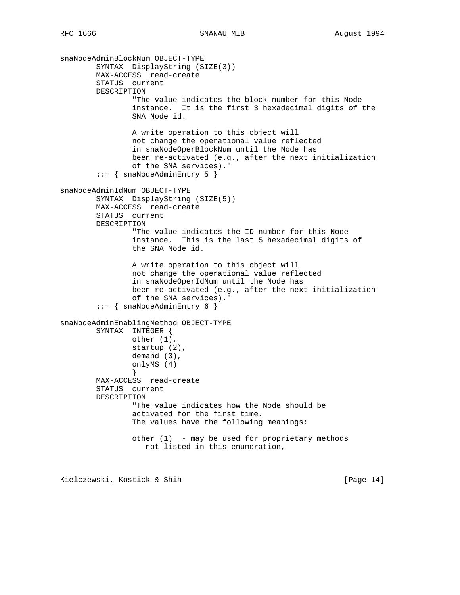snaNodeAdminBlockNum OBJECT-TYPE SYNTAX DisplayString (SIZE(3)) MAX-ACCESS read-create STATUS current DESCRIPTION "The value indicates the block number for this Node instance. It is the first 3 hexadecimal digits of the SNA Node id. A write operation to this object will not change the operational value reflected in snaNodeOperBlockNum until the Node has been re-activated (e.g., after the next initialization of the SNA services)." ::= { snaNodeAdminEntry 5 } snaNodeAdminIdNum OBJECT-TYPE SYNTAX DisplayString (SIZE(5)) MAX-ACCESS read-create STATUS current DESCRIPTION "The value indicates the ID number for this Node instance. This is the last 5 hexadecimal digits of the SNA Node id. A write operation to this object will not change the operational value reflected in snaNodeOperIdNum until the Node has been re-activated (e.g., after the next initialization of the SNA services)." ::= { snaNodeAdminEntry 6 } snaNodeAdminEnablingMethod OBJECT-TYPE SYNTAX INTEGER { other (1), startup (2), demand (3), onlyMS (4) } MAX-ACCESS read-create STATUS current DESCRIPTION "The value indicates how the Node should be activated for the first time. The values have the following meanings: other (1) - may be used for proprietary methods not listed in this enumeration,

Kielczewski, Kostick & Shih [Page 14]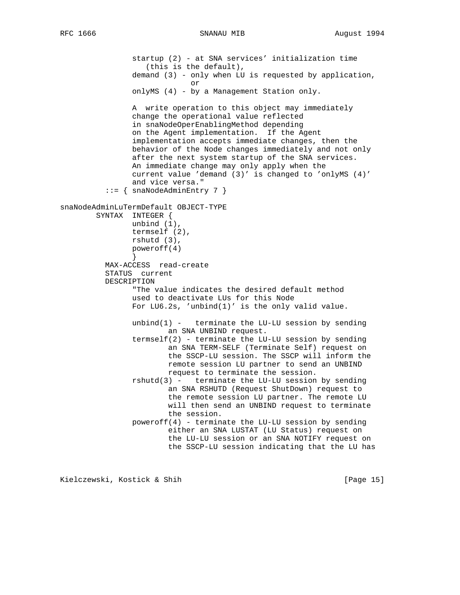startup (2) - at SNA services' initialization time (this is the default), demand (3) - only when LU is requested by application, or onlyMS (4) - by a Management Station only. A write operation to this object may immediately change the operational value reflected in snaNodeOperEnablingMethod depending on the Agent implementation. If the Agent implementation accepts immediate changes, then the behavior of the Node changes immediately and not only after the next system startup of the SNA services. An immediate change may only apply when the current value 'demand (3)' is changed to 'onlyMS (4)' and vice versa." ::= { snaNodeAdminEntry 7 } snaNodeAdminLuTermDefault OBJECT-TYPE SYNTAX INTEGER { unbind (1), termself (2), rshutd (3), poweroff(4) } MAX-ACCESS read-create STATUS current DESCRIPTION "The value indicates the desired default method used to deactivate LUs for this Node For LU6.2s, 'unbind(1)' is the only valid value. unbind $(1)$  - terminate the LU-LU session by sending an SNA UNBIND request. termself(2) - terminate the LU-LU session by sending an SNA TERM-SELF (Terminate Self) request on the SSCP-LU session. The SSCP will inform the remote session LU partner to send an UNBIND request to terminate the session. rshutd(3) - terminate the LU-LU session by sending an SNA RSHUTD (Request ShutDown) request to the remote session LU partner. The remote LU will then send an UNBIND request to terminate the session. poweroff(4) - terminate the LU-LU session by sending either an SNA LUSTAT (LU Status) request on the LU-LU session or an SNA NOTIFY request on the SSCP-LU session indicating that the LU has

Kielczewski, Kostick & Shih [Page 15]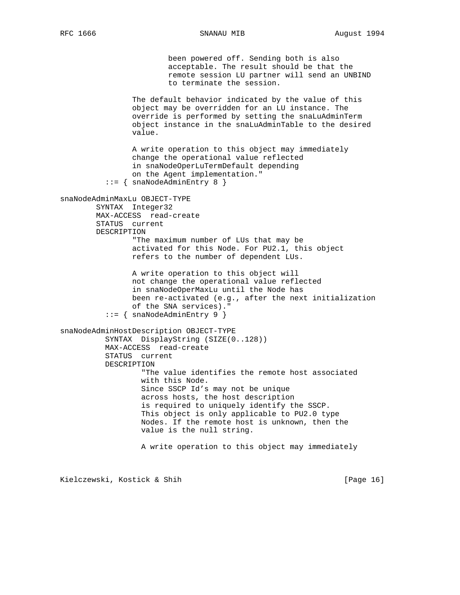been powered off. Sending both is also acceptable. The result should be that the remote session LU partner will send an UNBIND to terminate the session. The default behavior indicated by the value of this object may be overridden for an LU instance. The override is performed by setting the snaLuAdminTerm object instance in the snaLuAdminTable to the desired value. A write operation to this object may immediately change the operational value reflected in snaNodeOperLuTermDefault depending on the Agent implementation." ::= { snaNodeAdminEntry 8 } snaNodeAdminMaxLu OBJECT-TYPE SYNTAX Integer32 MAX-ACCESS read-create STATUS current DESCRIPTION "The maximum number of LUs that may be activated for this Node. For PU2.1, this object refers to the number of dependent LUs. A write operation to this object will not change the operational value reflected in snaNodeOperMaxLu until the Node has been re-activated (e.g., after the next initialization of the SNA services)." ::= { snaNodeAdminEntry 9 } snaNodeAdminHostDescription OBJECT-TYPE SYNTAX DisplayString (SIZE(0..128)) MAX-ACCESS read-create STATUS current DESCRIPTION "The value identifies the remote host associated with this Node. Since SSCP Id's may not be unique across hosts, the host description is required to uniquely identify the SSCP. This object is only applicable to PU2.0 type Nodes. If the remote host is unknown, then the value is the null string. A write operation to this object may immediately

Kielczewski, Kostick & Shih [Page 16]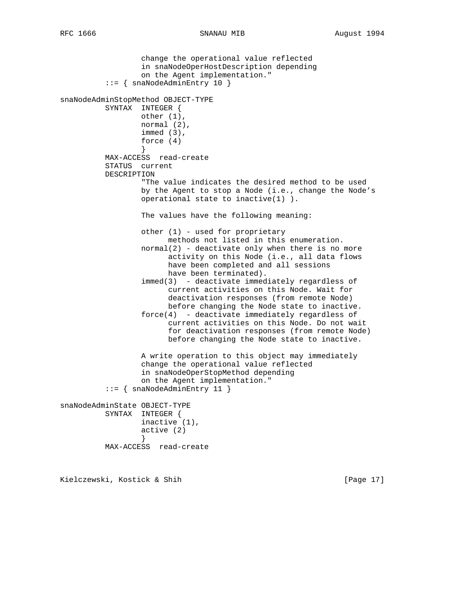```
 change the operational value reflected
                   in snaNodeOperHostDescription depending
                   on the Agent implementation."
           ::= { snaNodeAdminEntry 10 }
snaNodeAdminStopMethod OBJECT-TYPE
           SYNTAX INTEGER {
                  other (1),
                  normal (2),
                   immed (3),
                   force (4)
 }
           MAX-ACCESS read-create
           STATUS current
           DESCRIPTION
                   "The value indicates the desired method to be used
                   by the Agent to stop a Node (i.e., change the Node's
                   operational state to inactive(1) ).
                   The values have the following meaning:
                   other (1) - used for proprietary
                         methods not listed in this enumeration.
                  normal(2) - deactivate only when there is no more
                         activity on this Node (i.e., all data flows
                         have been completed and all sessions
                         have been terminated).
                   immed(3) - deactivate immediately regardless of
                         current activities on this Node. Wait for
                         deactivation responses (from remote Node)
                         before changing the Node state to inactive.
                   force(4) - deactivate immediately regardless of
                         current activities on this Node. Do not wait
                         for deactivation responses (from remote Node)
                         before changing the Node state to inactive.
                   A write operation to this object may immediately
                   change the operational value reflected
                   in snaNodeOperStopMethod depending
                   on the Agent implementation."
           ::= { snaNodeAdminEntry 11 }
snaNodeAdminState OBJECT-TYPE
           SYNTAX INTEGER {
                  inactive (1),
                   active (2)
 }
           MAX-ACCESS read-create
```
Kielczewski, Kostick & Shih [Page 17]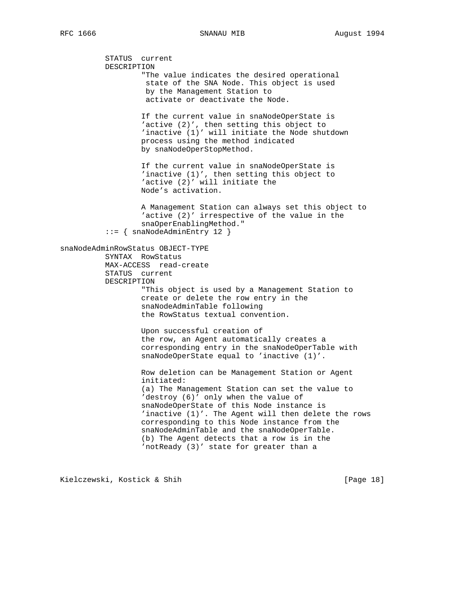STATUS current DESCRIPTION "The value indicates the desired operational state of the SNA Node. This object is used by the Management Station to activate or deactivate the Node. If the current value in snaNodeOperState is 'active (2)', then setting this object to 'inactive (1)' will initiate the Node shutdown process using the method indicated by snaNodeOperStopMethod. If the current value in snaNodeOperState is 'inactive (1)', then setting this object to 'active (2)' will initiate the Node's activation. A Management Station can always set this object to 'active (2)' irrespective of the value in the snaOperEnablingMethod." ::= { snaNodeAdminEntry 12 } snaNodeAdminRowStatus OBJECT-TYPE SYNTAX RowStatus MAX-ACCESS read-create STATUS current DESCRIPTION "This object is used by a Management Station to create or delete the row entry in the snaNodeAdminTable following the RowStatus textual convention. Upon successful creation of the row, an Agent automatically creates a corresponding entry in the snaNodeOperTable with snaNodeOperState equal to 'inactive (1)'. Row deletion can be Management Station or Agent initiated: (a) The Management Station can set the value to 'destroy (6)' only when the value of snaNodeOperState of this Node instance is 'inactive (1)'. The Agent will then delete the rows corresponding to this Node instance from the snaNodeAdminTable and the snaNodeOperTable. (b) The Agent detects that a row is in the 'notReady (3)' state for greater than a

Kielczewski, Kostick & Shih [Page 18]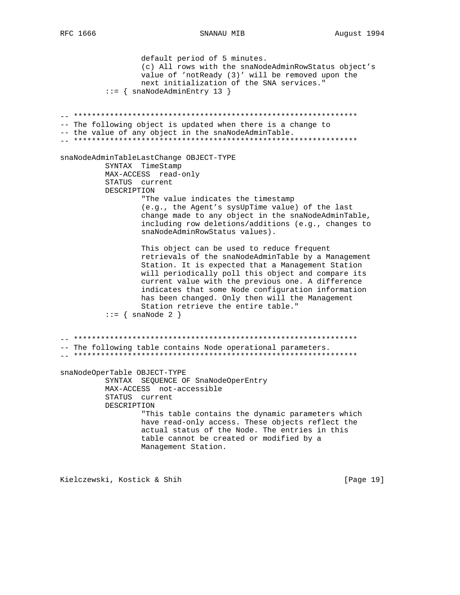SNANAU MIB

default period of 5 minutes. (c) All rows with the snaNodeAdminRowStatus object's value of 'notReady (3)' will be removed upon the next initialization of the SNA services."  $::=$  { snaNodeAdminEntry 13 } -- The following object is updated when there is a change to -- the value of any object in the snaNodeAdminTable. snaNodeAdminTableLastChange OBJECT-TYPE SYNTAX TimeStamp MAX-ACCESS read-only STATUS current DESCRIPTION "The value indicates the timestamp (e.g., the Agent's sysUpTime value) of the last change made to any object in the snaNodeAdminTable, including row deletions/additions (e.g., changes to snaNodeAdminRowStatus values). This object can be used to reduce frequent retrievals of the snaNodeAdminTable by a Management Station. It is expected that a Management Station will periodically poll this object and compare its current value with the previous one. A difference indicates that some Node configuration information has been changed. Only then will the Management Station retrieve the entire table."  $::= \{ \text{snaNode } 2 \}$ -- The following table contains Node operational parameters. snaNodeOperTable OBJECT-TYPE SYNTAX SEQUENCE OF SnaNodeOperEntry MAX-ACCESS not-accessible STATUS current DESCRIPTION "This table contains the dynamic parameters which have read-only access. These objects reflect the actual status of the Node. The entries in this table cannot be created or modified by a Management Station. Kielczewski, Kostick & Shih

[Page 19]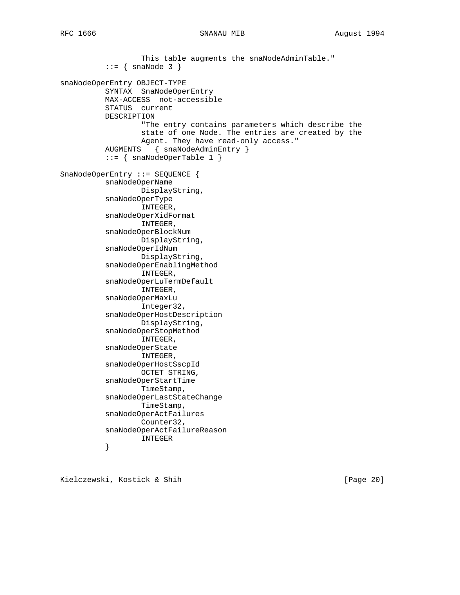This table augments the snaNodeAdminTable."  $::=$  { snaNode 3 } snaNodeOperEntry OBJECT-TYPE SYNTAX SnaNodeOperEntry MAX-ACCESS not-accessible STATUS current DESCRIPTION "The entry contains parameters which describe the state of one Node. The entries are created by the Agent. They have read-only access." AUGMENTS { snaNodeAdminEntry }  $::=$  { snaNodeOperTable 1 } SnaNodeOperEntry ::= SEQUENCE { snaNodeOperName DisplayString, snaNodeOperType INTEGER, snaNodeOperXidFormat INTEGER, snaNodeOperBlockNum DisplayString, snaNodeOperIdNum DisplayString, snaNodeOperEnablingMethod INTEGER, snaNodeOperLuTermDefault INTEGER, snaNodeOperMaxLu Integer32, snaNodeOperHostDescription DisplayString, snaNodeOperStopMethod INTEGER, snaNodeOperState INTEGER, snaNodeOperHostSscpId OCTET STRING, snaNodeOperStartTime TimeStamp, snaNodeOperLastStateChange TimeStamp, snaNodeOperActFailures Counter32, snaNodeOperActFailureReason INTEGER }

Kielczewski, Kostick & Shih [Page 20]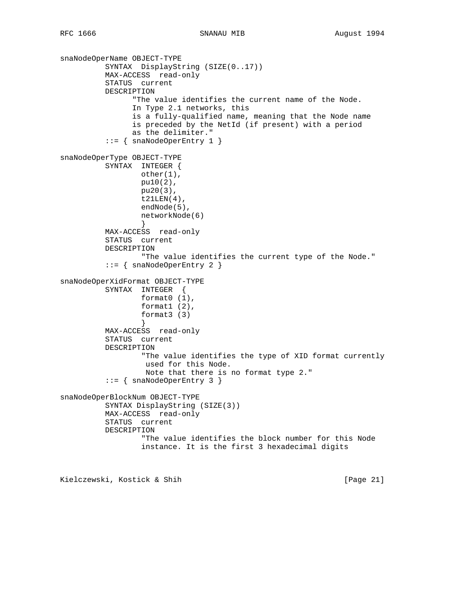```
snaNodeOperName OBJECT-TYPE
          SYNTAX DisplayString (SIZE(0..17))
          MAX-ACCESS read-only
          STATUS current
          DESCRIPTION
                "The value identifies the current name of the Node.
                In Type 2.1 networks, this
                is a fully-qualified name, meaning that the Node name
                is preceded by the NetId (if present) with a period
                as the delimiter."
           ::= { snaNodeOperEntry 1 }
snaNodeOperType OBJECT-TYPE
          SYNTAX INTEGER {
                  other(1),
                  pu10(2),
                  pu20(3),
                 t21LEN(4),
                  endNode(5),
                  networkNode(6)
 }
          MAX-ACCESS read-only
          STATUS current
          DESCRIPTION
                  "The value identifies the current type of the Node."
           ::= { snaNodeOperEntry 2 }
snaNodeOperXidFormat OBJECT-TYPE
          SYNTAX INTEGER {
                  format0 (1),
                  format1 (2),
                  format3 (3)
 }
          MAX-ACCESS read-only
          STATUS current
          DESCRIPTION
                  "The value identifies the type of XID format currently
                   used for this Node.
                   Note that there is no format type 2."
          ::= { snaNodeOperEntry 3 }
snaNodeOperBlockNum OBJECT-TYPE
          SYNTAX DisplayString (SIZE(3))
          MAX-ACCESS read-only
          STATUS current
          DESCRIPTION
                  "The value identifies the block number for this Node
                  instance. It is the first 3 hexadecimal digits
Kielczewski, Kostick & Shih [Page 21]
```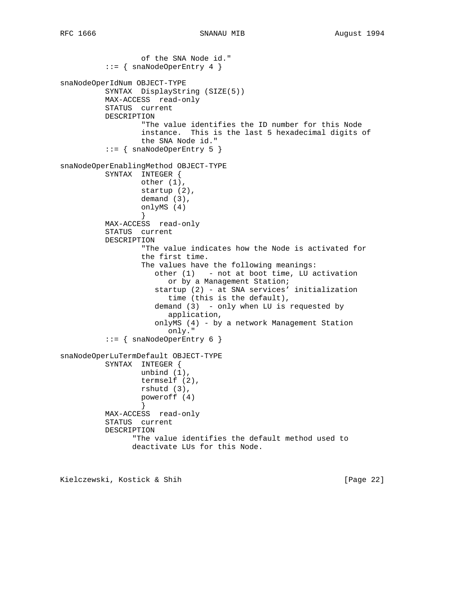```
 of the SNA Node id."
           ::= { snaNodeOperEntry 4 }
snaNodeOperIdNum OBJECT-TYPE
           SYNTAX DisplayString (SIZE(5))
           MAX-ACCESS read-only
           STATUS current
          DESCRIPTION
                   "The value identifies the ID number for this Node
                   instance. This is the last 5 hexadecimal digits of
                  the SNA Node id."
           ::= { snaNodeOperEntry 5 }
snaNodeOperEnablingMethod OBJECT-TYPE
           SYNTAX INTEGER {
                  other (1),
                  startup (2),
                  demand (3),
                   onlyMS (4)
 }
           MAX-ACCESS read-only
           STATUS current
           DESCRIPTION
                   "The value indicates how the Node is activated for
                   the first time.
                   The values have the following meanings:
                      other (1) - not at boot time, LU activation
                         or by a Management Station;
                      startup (2) - at SNA services' initialization
                         time (this is the default),
                      demand (3) - only when LU is requested by
                         application,
                      onlyMS (4) - by a network Management Station
                         only."
           ::= { snaNodeOperEntry 6 }
snaNodeOperLuTermDefault OBJECT-TYPE
          SYNTAX INTEGER {
                  unbind (1),
                   termself (2),
                  rshutd (3),
                  poweroff (4)
 }
           MAX-ACCESS read-only
           STATUS current
           DESCRIPTION
                 "The value identifies the default method used to
                 deactivate LUs for this Node.
```
Kielczewski, Kostick & Shih [Page 22]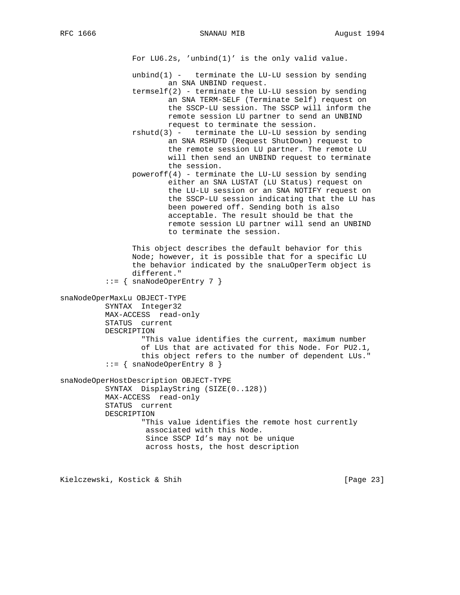For LU6.2s, 'unbind(1)' is the only valid value.

- unbind $(1)$  terminate the LU-LU session by sending an SNA UNBIND request.
- $termself(2) terminate the LU-LU session by sending$  an SNA TERM-SELF (Terminate Self) request on the SSCP-LU session. The SSCP will inform the remote session LU partner to send an UNBIND request to terminate the session.
- rshutd(3) terminate the LU-LU session by sending an SNA RSHUTD (Request ShutDown) request to the remote session LU partner. The remote LU will then send an UNBIND request to terminate the session.
- poweroff(4) terminate the LU-LU session by sending either an SNA LUSTAT (LU Status) request on the LU-LU session or an SNA NOTIFY request on the SSCP-LU session indicating that the LU has been powered off. Sending both is also acceptable. The result should be that the remote session LU partner will send an UNBIND to terminate the session.

 This object describes the default behavior for this Node; however, it is possible that for a specific LU the behavior indicated by the snaLuOperTerm object is different."

```
::= { snaNodeOperEntry 7 }
```

```
snaNodeOperMaxLu OBJECT-TYPE
          SYNTAX Integer32
           MAX-ACCESS read-only
           STATUS current
           DESCRIPTION
                   "This value identifies the current, maximum number
                   of LUs that are activated for this Node. For PU2.1,
                   this object refers to the number of dependent LUs."
          ::= { snaNodeOperEntry 8 }
snaNodeOperHostDescription OBJECT-TYPE
           SYNTAX DisplayString (SIZE(0..128))
           MAX-ACCESS read-only
           STATUS current
           DESCRIPTION
                   "This value identifies the remote host currently
                    associated with this Node.
                    Since SSCP Id's may not be unique
                    across hosts, the host description
```
Kielczewski, Kostick & Shih [Page 23]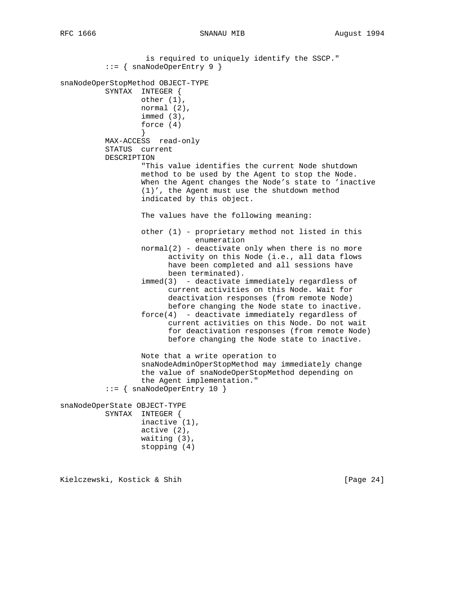is required to uniquely identify the SSCP."  $::=$  { snaNodeOperEntry 9 } snaNodeOperStopMethod OBJECT-TYPE SYNTAX INTEGER { other (1), normal (2), immed (3), force (4) } MAX-ACCESS read-only STATUS current DESCRIPTION "This value identifies the current Node shutdown method to be used by the Agent to stop the Node. When the Agent changes the Node's state to 'inactive (1)', the Agent must use the shutdown method indicated by this object. The values have the following meaning: other (1) - proprietary method not listed in this enumeration normal(2) - deactivate only when there is no more activity on this Node (i.e., all data flows have been completed and all sessions have been terminated). immed(3) - deactivate immediately regardless of current activities on this Node. Wait for deactivation responses (from remote Node) before changing the Node state to inactive. force(4) - deactivate immediately regardless of current activities on this Node. Do not wait for deactivation responses (from remote Node) before changing the Node state to inactive. Note that a write operation to snaNodeAdminOperStopMethod may immediately change the value of snaNodeOperStopMethod depending on the Agent implementation." ::= { snaNodeOperEntry 10 } snaNodeOperState OBJECT-TYPE SYNTAX INTEGER { inactive (1), active (2), waiting (3), stopping (4)

Kielczewski, Kostick & Shih [Page 24]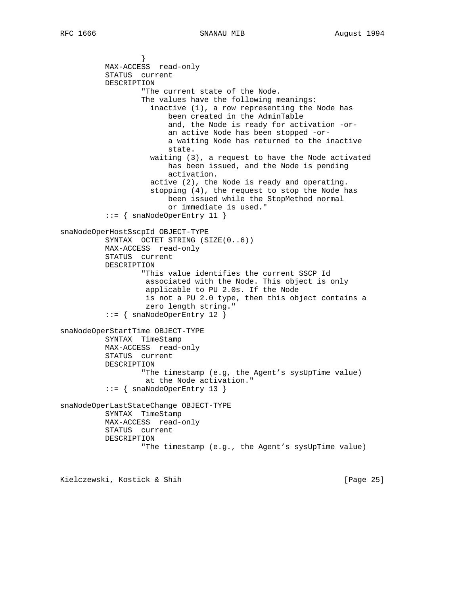} MAX-ACCESS read-only STATUS current DESCRIPTION "The current state of the Node. The values have the following meanings: inactive (1), a row representing the Node has been created in the AdminTable and, the Node is ready for activation -or an active Node has been stopped -or a waiting Node has returned to the inactive state. waiting (3), a request to have the Node activated has been issued, and the Node is pending activation. active (2), the Node is ready and operating. stopping (4), the request to stop the Node has been issued while the StopMethod normal or immediate is used."  $::=$  { snaNodeOperEntry 11 } snaNodeOperHostSscpId OBJECT-TYPE SYNTAX OCTET STRING (SIZE(0..6)) MAX-ACCESS read-only STATUS current DESCRIPTION "This value identifies the current SSCP Id associated with the Node. This object is only applicable to PU 2.0s. If the Node is not a PU 2.0 type, then this object contains a zero length string." ::= { snaNodeOperEntry 12 } snaNodeOperStartTime OBJECT-TYPE SYNTAX TimeStamp MAX-ACCESS read-only STATUS current DESCRIPTION "The timestamp (e.g, the Agent's sysUpTime value) at the Node activation." ::= { snaNodeOperEntry 13 } snaNodeOperLastStateChange OBJECT-TYPE SYNTAX TimeStamp MAX-ACCESS read-only STATUS current DESCRIPTION "The timestamp (e.g., the Agent's sysUpTime value)

Kielczewski, Kostick & Shih [Page 25]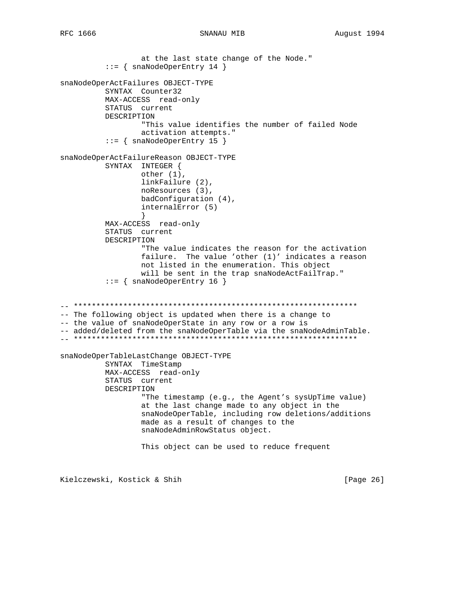## SNANAU MIB

```
at the last state change of the Node."
         ::= { snaNodeOperEntry 14 }
snaNodeOperActFailures OBJECT-TYPE
        SYNTAX Counter32
        MAX-ACCESS read-only
        STATUS current
        DESCRIPTION
                "This value identifies the number of failed Node
                activation attempts."
         ::= { snaNodeOperEntry 15 }
snaNodeOperActFailureReason OBJECT-TYPE
        SYNTAX INTEGER {
                other (1),
                linkFailure (2),
                noResources (3),
                badConfiguration (4),
                internalError (5)
        MAX-ACCESS read-only
        STATUS current
        DESCRIPTION
                "The value indicates the reason for the activation
                failure. The value 'other (1)' indicates a reason
                not listed in the enumeration. This object
                will be sent in the trap snaNodeActFailTrap."
         ::= { snaNodeOperEntry 16 }
-- The following object is updated when there is a change to
-- the value of snaNodeOperState in any row or a row is
-- added/deleted from the snaNodeOperTable via the snaNodeAdminTable.
snaNodeOperTableLastChange OBJECT-TYPE
        SYNTAX TimeStamp
        MAX-ACCESS read-only
        STATUS current
        DESCRIPTION
                "The timestamp (e.g., the Agent's sysUpTime value)
                at the last change made to any object in the
                snaNodeOperTable, including row deletions/additions
                made as a result of changes to the
                snaNodeAdminRowStatus object.
                This object can be used to reduce frequent
```
Kielczewski, Kostick & Shih

[Page 26]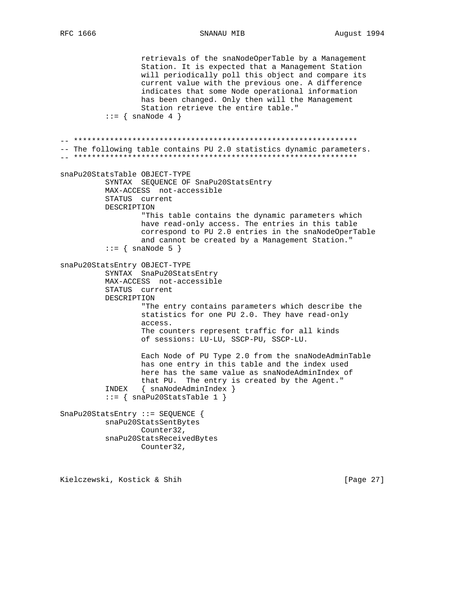SNANAU MIB

retrievals of the snaNodeOperTable by a Management Station. It is expected that a Management Station will periodically poll this object and compare its current value with the previous one. A difference indicates that some Node operational information has been changed. Only then will the Management Station retrieve the entire table."  $\cdot \cdot = \{ \text{snaNode } 4 \}$ -- The following table contains PU 2.0 statistics dynamic parameters. snaPu20StatsTable OBJECT-TYPE SYNTAX SEQUENCE OF SnaPu20StatsEntry MAX-ACCESS not-accessible STATUS current DESCRIPTION "This table contains the dynamic parameters which have read-only access. The entries in this table correspond to PU 2.0 entries in the snaNodeOperTable and cannot be created by a Management Station."  $::=$  { snaNode 5 } snaPu20StatsEntry OBJECT-TYPE SYNTAX SnaPu20StatsEntry MAX-ACCESS not-accessible STATUS current DESCRIPTION "The entry contains parameters which describe the statistics for one PU 2.0. They have read-only access. The counters represent traffic for all kinds of sessions: LU-LU, SSCP-PU, SSCP-LU. Each Node of PU Type 2.0 from the snaNodeAdminTable has one entry in this table and the index used here has the same value as snaNodeAdminIndex of that PU. The entry is created by the Agent." INDEX { snaNodeAdminIndex }  $::=$  { snaPu20StatsTable 1 } SnaPu20StatsEntry ::= SEQUENCE { snaPu20StatsSentBytes Counter32, snaPu20StatsReceivedBytes Counter32,

Kielczewski, Kostick & Shih

[Page 27]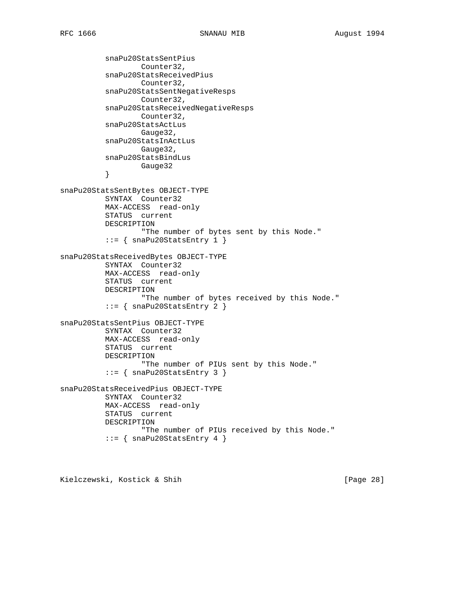snaPu20StatsSentPius Counter32, snaPu20StatsReceivedPius Counter32, snaPu20StatsSentNegativeResps Counter32, snaPu20StatsReceivedNegativeResps Counter32, snaPu20StatsActLus Gauge32, snaPu20StatsInActLus Gauge32, snaPu20StatsBindLus Gauge32 } snaPu20StatsSentBytes OBJECT-TYPE SYNTAX Counter32 MAX-ACCESS read-only STATUS current DESCRIPTION "The number of bytes sent by this Node." ::= { snaPu20StatsEntry 1 } snaPu20StatsReceivedBytes OBJECT-TYPE SYNTAX Counter32 MAX-ACCESS read-only STATUS current DESCRIPTION "The number of bytes received by this Node." ::= { snaPu20StatsEntry 2 } snaPu20StatsSentPius OBJECT-TYPE SYNTAX Counter32 MAX-ACCESS read-only STATUS current DESCRIPTION "The number of PIUs sent by this Node." ::= { snaPu20StatsEntry 3 } snaPu20StatsReceivedPius OBJECT-TYPE SYNTAX Counter32 MAX-ACCESS read-only STATUS current DESCRIPTION "The number of PIUs received by this Node."  $::=$  { snaPu20StatsEntry 4 }

Kielczewski, Kostick & Shih [Page 28]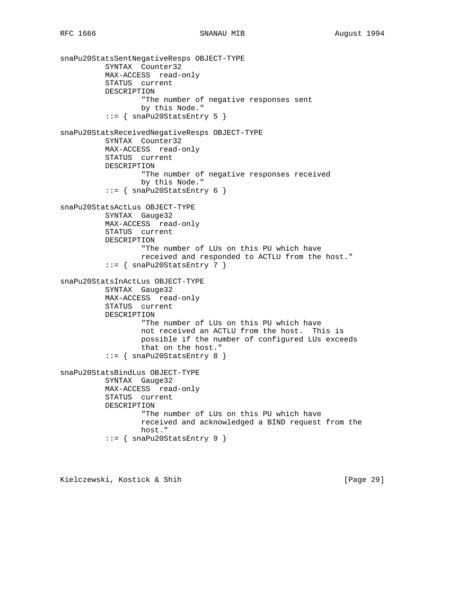```
snaPu20StatsSentNegativeResps OBJECT-TYPE
           SYNTAX Counter32
           MAX-ACCESS read-only
           STATUS current
           DESCRIPTION
                   "The number of negative responses sent
                   by this Node."
          ::= { snaPu20StatsEntry 5 }
snaPu20StatsReceivedNegativeResps OBJECT-TYPE
           SYNTAX Counter32
           MAX-ACCESS read-only
           STATUS current
           DESCRIPTION
                   "The number of negative responses received
                   by this Node."
          ::= { snaPu20StatsEntry 6 }
snaPu20StatsActLus OBJECT-TYPE
          SYNTAX Gauge32
           MAX-ACCESS read-only
           STATUS current
           DESCRIPTION
                   "The number of LUs on this PU which have
                   received and responded to ACTLU from the host."
          ::= { snaPu20StatsEntry 7 }
snaPu20StatsInActLus OBJECT-TYPE
           SYNTAX Gauge32
           MAX-ACCESS read-only
           STATUS current
           DESCRIPTION
                   "The number of LUs on this PU which have
                   not received an ACTLU from the host. This is
                   possible if the number of configured LUs exceeds
                   that on the host."
           ::= { snaPu20StatsEntry 8 }
snaPu20StatsBindLus OBJECT-TYPE
           SYNTAX Gauge32
           MAX-ACCESS read-only
           STATUS current
           DESCRIPTION
                   "The number of LUs on this PU which have
                   received and acknowledged a BIND request from the
                  host."
          ::= { snaPu20StatsEntry 9 }
```
Kielczewski, Kostick & Shih [Page 29]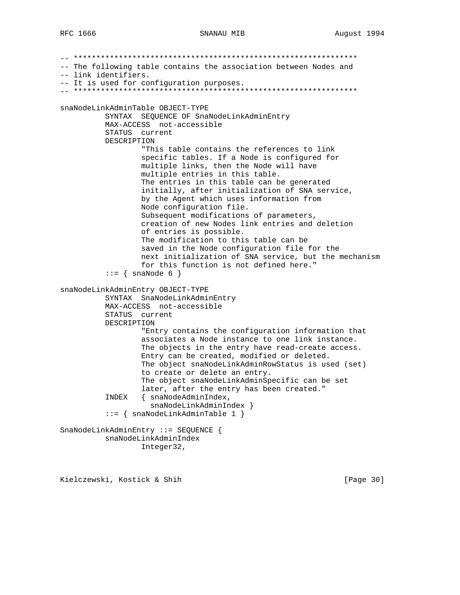### SNANAU MIB

-- The following table contains the association between Nodes and -- link identifiers. -- It is used for configuration purposes. snaNodeLinkAdminTable OBJECT-TYPE SYNTAX SEQUENCE OF SnaNodeLinkAdminEntry MAX-ACCESS not-accessible STATUS current DESCRIPTION "This table contains the references to link specific tables. If a Node is configured for multiple links, then the Node will have multiple entries in this table. The entries in this table can be generated initially, after initialization of SNA service, by the Agent which uses information from Node configuration file. Subsequent modifications of parameters, creation of new Nodes link entries and deletion of entries is possible. The modification to this table can be saved in the Node configuration file for the next initialization of SNA service, but the mechanism for this function is not defined here."  $::=$  { snaNode 6 } snaNodeLinkAdminEntry OBJECT-TYPE SYNTAX SnaNodeLinkAdminEntry MAX-ACCESS not-accessible STATUS current DESCRIPTION "Entry contains the configuration information that associates a Node instance to one link instance. The objects in the entry have read-create access. Entry can be created, modified or deleted. The object snaNodeLinkAdminRowStatus is used (set) to create or delete an entry. The object snaNodeLinkAdminSpecific can be set later, after the entry has been created." INDEX { snaNodeAdminIndex, snaNodeLinkAdminIndex }  $::=$  { snaNodeLinkAdminTable 1 } SnaNodeLinkAdminEntry ::= SEQUENCE { snaNodeLinkAdminIndex Integer32,

Kielczewski, Kostick & Shih

[Page 30]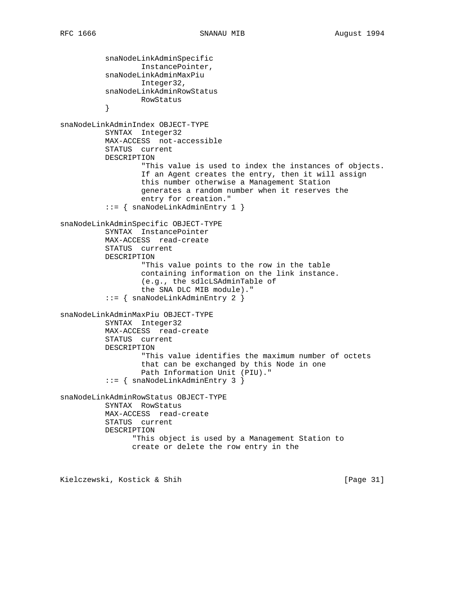snaNodeLinkAdminSpecific InstancePointer, snaNodeLinkAdminMaxPiu Integer32, snaNodeLinkAdminRowStatus RowStatus<br>} } snaNodeLinkAdminIndex OBJECT-TYPE SYNTAX Integer32 MAX-ACCESS not-accessible STATUS current DESCRIPTION "This value is used to index the instances of objects. If an Agent creates the entry, then it will assign this number otherwise a Management Station generates a random number when it reserves the entry for creation." ::= { snaNodeLinkAdminEntry 1 } snaNodeLinkAdminSpecific OBJECT-TYPE SYNTAX InstancePointer MAX-ACCESS read-create STATUS current DESCRIPTION "This value points to the row in the table containing information on the link instance. (e.g., the sdlcLSAdminTable of the SNA DLC MIB module)." ::= { snaNodeLinkAdminEntry 2 } snaNodeLinkAdminMaxPiu OBJECT-TYPE SYNTAX Integer32 MAX-ACCESS read-create STATUS current DESCRIPTION "This value identifies the maximum number of octets that can be exchanged by this Node in one Path Information Unit (PIU)." ::= { snaNodeLinkAdminEntry 3 } snaNodeLinkAdminRowStatus OBJECT-TYPE SYNTAX RowStatus MAX-ACCESS read-create STATUS current DESCRIPTION "This object is used by a Management Station to create or delete the row entry in the

Kielczewski, Kostick & Shih [Page 31]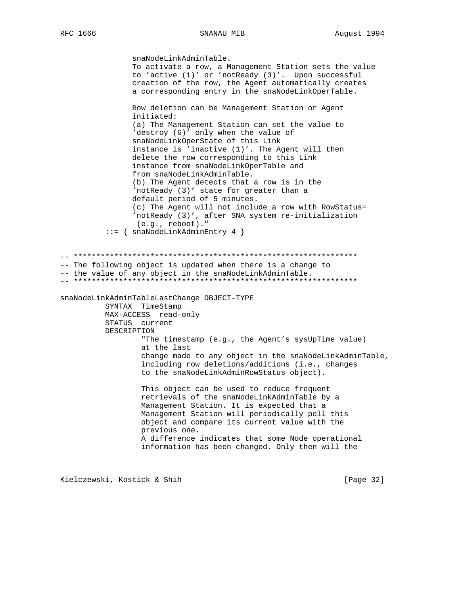### SNANAU MIB

snaNodeLinkAdminTable. To activate a row, a Management Station sets the value to 'active (1)' or 'notReady (3)'. Upon successful creation of the row, the Agent automatically creates a corresponding entry in the snaNodeLinkOperTable. Row deletion can be Management Station or Agent initiated: (a) The Management Station can set the value to 'destroy (6)' only when the value of snaNodeLinkOperState of this Link instance is 'inactive (1)'. The Agent will then delete the row corresponding to this Link instance from snaNodeLinkOperTable and from snaNodeLinkAdminTable. (b) The Agent detects that a row is in the 'notReady (3)' state for greater than a default period of 5 minutes. (c) The Agent will not include a row with RowStatus= 'notReady (3)', after SNA system re-initialization  $(e.g.,$  reboot)."  $::=$  { snaNodeLinkAdminEntry 4 } -- The following object is updated when there is a change to -- the value of any object in the snaNodeLinkAdminTable. snaNodeLinkAdminTableLastChange OBJECT-TYPE SYNTAX TimeStamp MAX-ACCESS read-only STATUS current DESCRIPTION "The timestamp (e.g., the Agent's sysUpTime value) at the last change made to any object in the snaNodeLinkAdminTable, including row deletions/additions (i.e., changes to the snaNodeLinkAdminRowStatus object). This object can be used to reduce frequent retrievals of the snaNodeLinkAdminTable by a Management Station. It is expected that a Management Station will periodically poll this object and compare its current value with the previous one. A difference indicates that some Node operational information has been changed. Only then will the

Kielczewski, Kostick & Shih

[Page 32]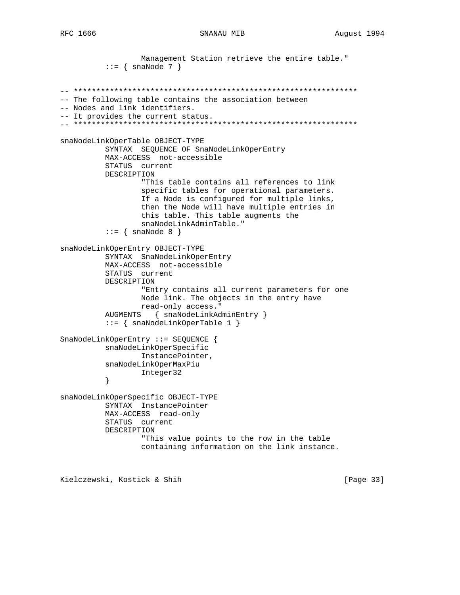```
Management Station retrieve the entire table."
         ::= { snaNode 7 }
-- The following table contains the association between
-- Nodes and link identifiers.
-- It provides the current status.
snaNodeLinkOperTable OBJECT-TYPE
        SYNTAX SEQUENCE OF SnaNodeLinkOperEntry
        MAX-ACCESS not-accessible
        STATUS current
        DESCRIPTION
                "This table contains all references to link
                specific tables for operational parameters.
                If a Node is configured for multiple links,
                then the Node will have multiple entries in
                this table. This table augments the
                snaNodeLinkAdminTable."
         ::= \{ \text{snaNode } 8 \}snaNodeLinkOperEntry OBJECT-TYPE
        SYNTAX SnaNodeLinkOperEntry
        MAX-ACCESS not-accessible
        STATUS current
        DESCRIPTION
                "Entry contains all current parameters for one
                Node link. The objects in the entry have
               read-only access."
        AUGMENTS { snaNodeLinkAdminEntry }
         ::= { snaNodeLinkOperTable 1 }
SnaNodeLinkOperEntry ::= SEQUENCE {
        snaNodeLinkOperSpecific
               InstancePointer,
        snaNodeLinkOperMaxPiu
               Integer32
         \}snaNodeLinkOperSpecific OBJECT-TYPE
        SYNTAX InstancePointer
        MAX-ACCESS read-only
        STATUS current
        DESCRIPTION
                "This value points to the row in the table
                containing information on the link instance.
```
Kielczewski, Kostick & Shih

[Page 33]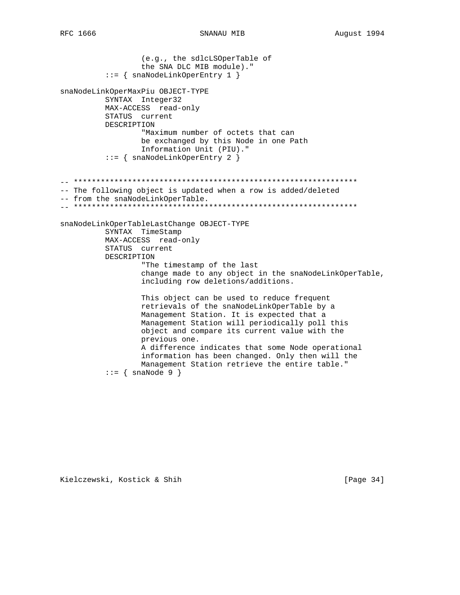```
RFC 1666
```

```
(e.g., the sdlcLSOperTable of
                the SNA DLC MIB module)."
         ::= { snaNodeLinkOperEntry 1 }
snaNodeLinkOperMaxPiu OBJECT-TYPE
        SYNTAX Integer32
        MAX-ACCESS read-only
        STATUS current
        DESCRIPTION
                "Maximum number of octets that can
               be exchanged by this Node in one Path
               Information Unit (PIU)."
         ::= { snaNodeLinkOperEntry 2 }
-- The following object is updated when a row is added/deleted
-- from the snaNodeLinkOperTable.
snaNodeLinkOperTableLastChange OBJECT-TYPE
        SYNTAX TimeStamp
        MAX-ACCESS read-only
        STATUS current
        DESCRIPTION
                "The timestamp of the last
                change made to any object in the snaNodeLinkOperTable,
                including row deletions/additions.
                This object can be used to reduce frequent
                retrievals of the snaNodeLinkOperTable by a
               Management Station. It is expected that a
               Management Station will periodically poll this
               object and compare its current value with the
               previous one.
               A difference indicates that some Node operational
                information has been changed. Only then will the
                Management Station retrieve the entire table."
         ::= \{ \text{snaNode } 9 \}
```
Kielczewski, Kostick & Shih

[Page 34]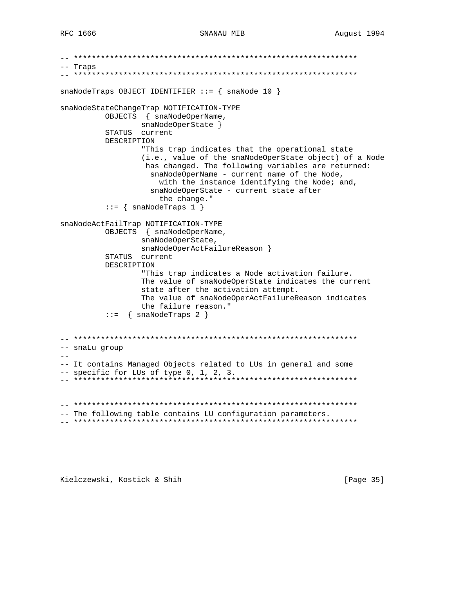```
-- Traps
snaNodeTraps OBJECT IDENTIFIER ::= \{ \text{snaNode } 10 \}snaNodeStateChangeTrap NOTIFICATION-TYPE
       OBJECTS { snaNodeOperName,
            snaNodeOperState }
       STATUS current
       DESCRIPTION
             "This trap indicates that the operational state
             (i.e., value of the snaNodeOperState object) of a Node
              has changed. The following variables are returned:
              snaNodeOperName - current name of the Node,
                with the instance identifying the Node; and,
              snaNodeOperState - current state after
                the change."
       ::= { snaNodeTraps 1 }
snaNodeActFailTrap NOTIFICATION-TYPE
       OBJECTS { snaNodeOperName,
             snaNodeOperState,
             snaNodeOperActFailureReason }
       STATUS current
       DESCRIPTION
             "This trap indicates a Node activation failure.
             The value of snaNodeOperState indicates the current
             state after the activation attempt.
             The value of snaNodeOperActFailureReason indicates
             the failure reason."
       ::= { snaNodeTraps 2 }
-- snaLu group
\frac{1}{2}-- It contains Managed Objects related to LUs in general and some
-- specific for LUs of type 0, 1, 2, 3.
-- The following table contains LU configuration parameters.
```
Kielczewski, Kostick & Shih

[Page 35]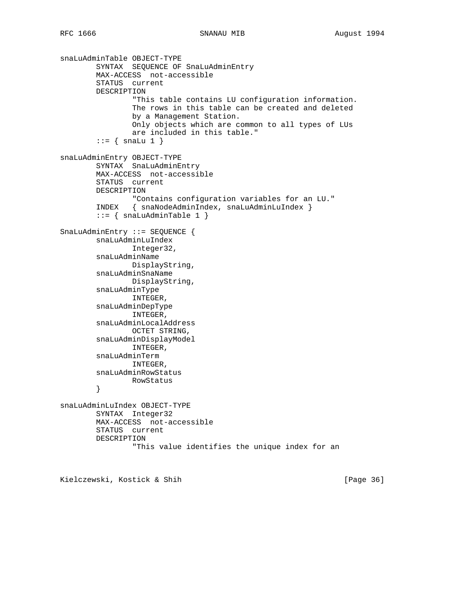```
snaLuAdminTable OBJECT-TYPE
         SYNTAX SEQUENCE OF SnaLuAdminEntry
         MAX-ACCESS not-accessible
         STATUS current
         DESCRIPTION
                 "This table contains LU configuration information.
                 The rows in this table can be created and deleted
                 by a Management Station.
                 Only objects which are common to all types of LUs
                 are included in this table."
        ::= { snaLu 1 }
snaLuAdminEntry OBJECT-TYPE
         SYNTAX SnaLuAdminEntry
         MAX-ACCESS not-accessible
         STATUS current
         DESCRIPTION
                 "Contains configuration variables for an LU."
         INDEX { snaNodeAdminIndex, snaLuAdminLuIndex }
        ::= { snaLuAdminTable 1 }
SnaLuAdminEntry ::= SEQUENCE {
         snaLuAdminLuIndex
                Integer32,
         snaLuAdminName
                DisplayString,
         snaLuAdminSnaName
                 DisplayString,
         snaLuAdminType
                 INTEGER,
         snaLuAdminDepType
                INTEGER,
         snaLuAdminLocalAddress
                OCTET STRING,
         snaLuAdminDisplayModel
                INTEGER,
         snaLuAdminTerm
                INTEGER,
         snaLuAdminRowStatus
                RowStatus
         }
snaLuAdminLuIndex OBJECT-TYPE
         SYNTAX Integer32
         MAX-ACCESS not-accessible
         STATUS current
         DESCRIPTION
                 "This value identifies the unique index for an
```
Kielczewski, Kostick & Shih [Page 36]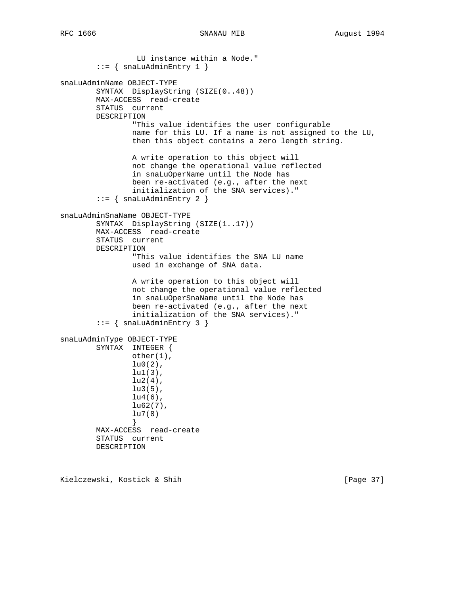LU instance within a Node."  $::=$  { snaLuAdminEntry 1 } snaLuAdminName OBJECT-TYPE SYNTAX DisplayString (SIZE(0..48)) MAX-ACCESS read-create STATUS current DESCRIPTION "This value identifies the user configurable name for this LU. If a name is not assigned to the LU, then this object contains a zero length string. A write operation to this object will not change the operational value reflected in snaLuOperName until the Node has been re-activated (e.g., after the next initialization of the SNA services)." ::=  $\{$  snaLuAdminEntry 2  $\}$ snaLuAdminSnaName OBJECT-TYPE SYNTAX DisplayString (SIZE(1..17)) MAX-ACCESS read-create STATUS current DESCRIPTION "This value identifies the SNA LU name used in exchange of SNA data. A write operation to this object will not change the operational value reflected in snaLuOperSnaName until the Node has been re-activated (e.g., after the next initialization of the SNA services)."  $::=$  { snaLuAdminEntry 3 } snaLuAdminType OBJECT-TYPE SYNTAX INTEGER { other(1),  $lu0(2)$ , lu1(3),  $lu2(4)$ , lu3(5),  $lu4(6)$ , lu62(7), lu7(8) } MAX-ACCESS read-create STATUS current DESCRIPTION

Kielczewski, Kostick & Shih [Page 37]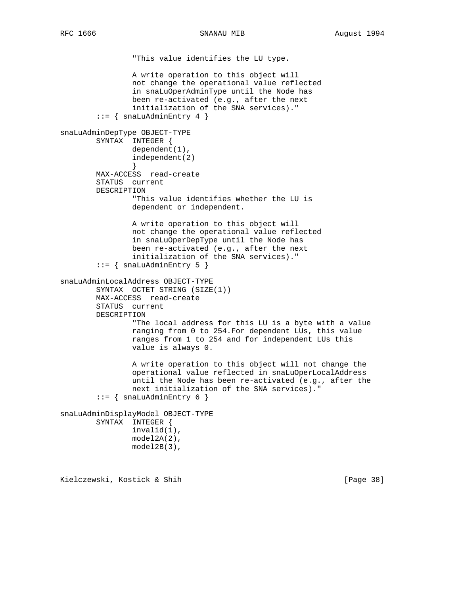```
 "This value identifies the LU type.
                 A write operation to this object will
                 not change the operational value reflected
                 in snaLuOperAdminType until the Node has
                 been re-activated (e.g., after the next
                 initialization of the SNA services)."
        ::= { snaLuAdminEntry 4 }
snaLuAdminDepType OBJECT-TYPE
         SYNTAX INTEGER {
                dependent(1),
                 independent(2)
 }
         MAX-ACCESS read-create
         STATUS current
        DESCRIPTION
                 "This value identifies whether the LU is
                 dependent or independent.
                 A write operation to this object will
                 not change the operational value reflected
                 in snaLuOperDepType until the Node has
                 been re-activated (e.g., after the next
                 initialization of the SNA services)."
        ::= { snaLuAdminEntry 5 }
snaLuAdminLocalAddress OBJECT-TYPE
         SYNTAX OCTET STRING (SIZE(1))
        MAX-ACCESS read-create
         STATUS current
        DESCRIPTION
                 "The local address for this LU is a byte with a value
                 ranging from 0 to 254.For dependent LUs, this value
                 ranges from 1 to 254 and for independent LUs this
                 value is always 0.
                 A write operation to this object will not change the
                 operational value reflected in snaLuOperLocalAddress
                 until the Node has been re-activated (e.g., after the
                 next initialization of the SNA services)."
        ::= \{ snaLuAdminEntry 6 \}snaLuAdminDisplayModel OBJECT-TYPE
        SYNTAX INTEGER {
                 invalid(1),
                 model2A(2),
                 model2B(3),
```
Kielczewski, Kostick & Shih [Page 38]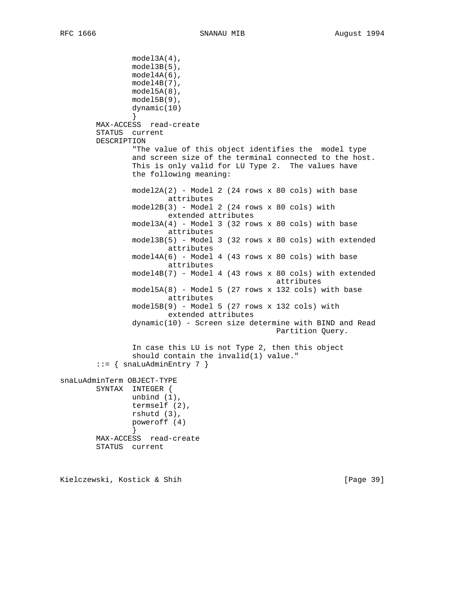```
 model3A(4),
                model3B(5),
                 model4A(6),
                 model4B(7),
                 model5A(8),
                 model5B(9),
                 dynamic(10)
 }
        MAX-ACCESS read-create
         STATUS current
        DESCRIPTION
                 "The value of this object identifies the model type
                 and screen size of the terminal connected to the host.
                 This is only valid for LU Type 2. The values have
                 the following meaning:
                model2A(2) - Model 2 (24 rows x 80 cols) with base
                         attributes
                 model2B(3) - Model 2 (24 rows x 80 cols) with
                        extended attributes
                 model3A(4) - Model 3 (32 rows x 80 cols) with base
                         attributes
                 model3B(5) - Model 3 (32 rows x 80 cols) with extended
                         attributes
                 model4A(6) - Model 4 (43 rows x 80 cols) with base
                         attributes
                 model4B(7) - Model 4 (43 rows x 80 cols) with extended
                                                 attributes
                 model5A(8) - Model 5 (27 rows x 132 cols) with base
                         attributes
                 model5B(9) - Model 5 (27 rows x 132 cols) with
                         extended attributes
                 dynamic(10) - Screen size determine with BIND and Read
                                                 Partition Query.
                 In case this LU is not Type 2, then this object
                 should contain the invalid(1) value."
        ::= { snaLuAdminEntry 7 }
snaLuAdminTerm OBJECT-TYPE
        SYNTAX INTEGER {
                unbind (1),
                 termself (2),
                 rshutd (3),
                 poweroff (4)
 }
        MAX-ACCESS read-create
         STATUS current
```
Kielczewski, Kostick & Shih [Page 39]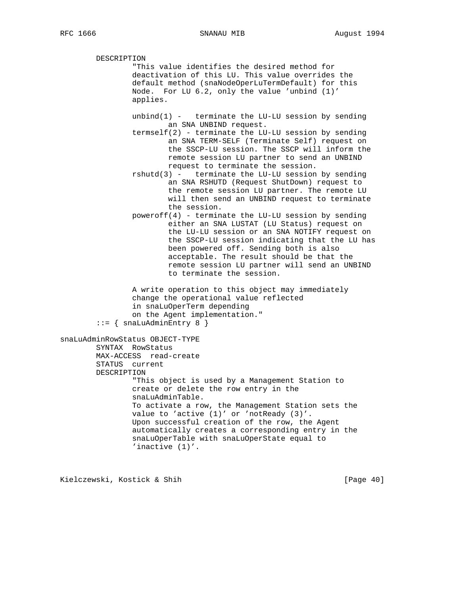DESCRIPTION "This value identifies the desired method for deactivation of this LU. This value overrides the default method (snaNodeOperLuTermDefault) for this Node. For LU 6.2, only the value 'unbind (1)' applies. unbind $(1)$  - terminate the LU-LU session by sending an SNA UNBIND request. termself(2) - terminate the LU-LU session by sending an SNA TERM-SELF (Terminate Self) request on the SSCP-LU session. The SSCP will inform the remote session LU partner to send an UNBIND request to terminate the session.  $rshutd(3)$  - terminate the LU-LU session by sending an SNA RSHUTD (Request ShutDown) request to the remote session LU partner. The remote LU will then send an UNBIND request to terminate the session. poweroff(4) - terminate the LU-LU session by sending either an SNA LUSTAT (LU Status) request on the LU-LU session or an SNA NOTIFY request on the SSCP-LU session indicating that the LU has been powered off. Sending both is also acceptable. The result should be that the remote session LU partner will send an UNBIND to terminate the session. A write operation to this object may immediately change the operational value reflected in snaLuOperTerm depending on the Agent implementation."  $::=$  { snaLuAdminEntry 8 } snaLuAdminRowStatus OBJECT-TYPE SYNTAX RowStatus MAX-ACCESS read-create STATUS current DESCRIPTION "This object is used by a Management Station to create or delete the row entry in the snaLuAdminTable. To activate a row, the Management Station sets the value to 'active (1)' or 'notReady (3)'. Upon successful creation of the row, the Agent automatically creates a corresponding entry in the snaLuOperTable with snaLuOperState equal to 'inactive (1)'.

Kielczewski, Kostick & Shih [Page 40]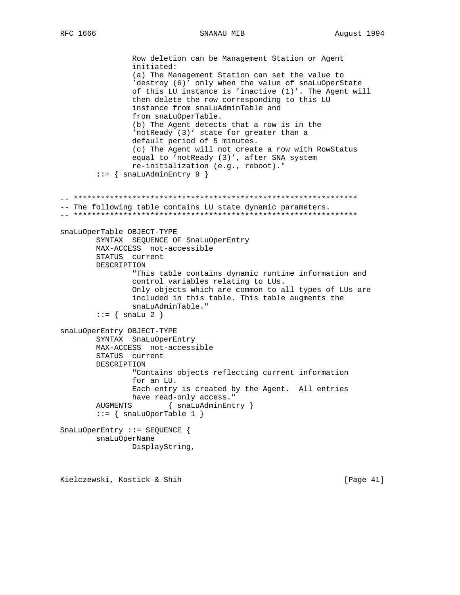SNANAU MIB

Row deletion can be Management Station or Agent initiated: (a) The Management Station can set the value to 'destroy (6)' only when the value of snaLuOperState of this LU instance is 'inactive (1)'. The Agent will then delete the row corresponding to this LU instance from snaLuAdminTable and from snaLuOperTable. (b) The Agent detects that a row is in the 'notReady (3)' state for greater than a default period of 5 minutes. (c) The Agent will not create a row with RowStatus equal to 'notReady (3)', after SNA system re-initialization (e.g., reboot)."  $::=$  { snaLuAdminEntry 9 } -- The following table contains LU state dynamic parameters. snaLuOperTable OBJECT-TYPE SYNTAX SEQUENCE OF SnaLuOperEntry MAX-ACCESS not-accessible STATUS current DESCRIPTION "This table contains dynamic runtime information and control variables relating to LUs. Only objects which are common to all types of LUs are included in this table. This table augments the snaLuAdminTable."  $\mathsf{::} = \{ \text{ snalu } 2 \}$ snaLuOperEntry OBJECT-TYPE SYNTAX SnaLuOperEntry MAX-ACCESS not-accessible STATUS current DESCRIPTION "Contains objects reflecting current information for an LU. Each entry is created by the Agent. All entries have read-only access." **AUGMENTS** { snaLuAdminEntry }  $::= \{ \text{snallowperTable 1} \}$ SnaLuOperEntry ::= SEQUENCE { snaLuOperName DisplayString,

Kielczewski, Kostick & Shih

[Page 41]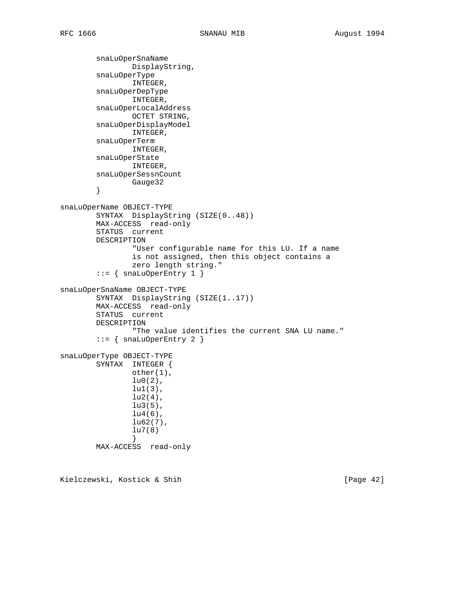```
 snaLuOperSnaName
                 DisplayString,
         snaLuOperType
                 INTEGER,
         snaLuOperDepType
                 INTEGER,
         snaLuOperLocalAddress
                OCTET STRING,
         snaLuOperDisplayModel
                 INTEGER,
         snaLuOperTerm
                 INTEGER,
         snaLuOperState
                 INTEGER,
         snaLuOperSessnCount
                Gauge32
         }
snaLuOperName OBJECT-TYPE
         SYNTAX DisplayString (SIZE(0..48))
         MAX-ACCESS read-only
         STATUS current
         DESCRIPTION
                 "User configurable name for this LU. If a name
                 is not assigned, then this object contains a
                 zero length string."
        ::= { snaLuOperEntry 1 }
snaLuOperSnaName OBJECT-TYPE
         SYNTAX DisplayString (SIZE(1..17))
         MAX-ACCESS read-only
         STATUS current
         DESCRIPTION
                 "The value identifies the current SNA LU name."
         ::= { snaLuOperEntry 2 }
snaLuOperType OBJECT-TYPE
         SYNTAX INTEGER {
                 other(1),
                lu0(2),
                 lu1(3),
                lu2(4),
                 lu3(5),
                lu4(6),
                lu62(7),
                 lu7(8)
 }
         MAX-ACCESS read-only
```
Kielczewski, Kostick & Shih [Page 42]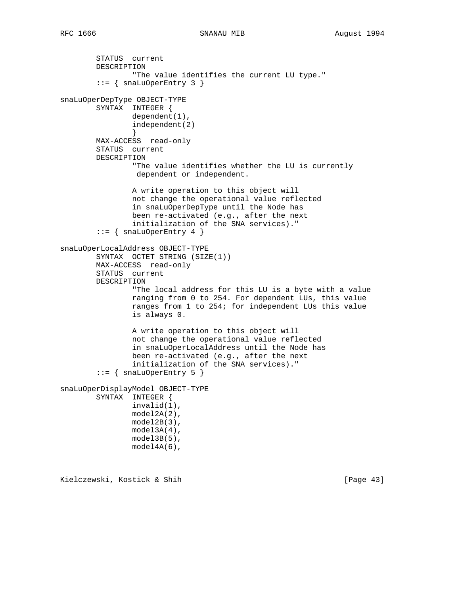```
 STATUS current
         DESCRIPTION
                 "The value identifies the current LU type."
        ::= { snaLuOperEntry 3 }
snaLuOperDepType OBJECT-TYPE
         SYNTAX INTEGER {
                 dependent(1),
                 independent(2)
 }
        MAX-ACCESS read-only
         STATUS current
        DESCRIPTION
                 "The value identifies whether the LU is currently
                  dependent or independent.
                 A write operation to this object will
                 not change the operational value reflected
                 in snaLuOperDepType until the Node has
                 been re-activated (e.g., after the next
                 initialization of the SNA services)."
        ::= { snaLuOperEntry 4 }
snaLuOperLocalAddress OBJECT-TYPE
         SYNTAX OCTET STRING (SIZE(1))
        MAX-ACCESS read-only
         STATUS current
         DESCRIPTION
                 "The local address for this LU is a byte with a value
                 ranging from 0 to 254. For dependent LUs, this value
                 ranges from 1 to 254; for independent LUs this value
                 is always 0.
                 A write operation to this object will
                 not change the operational value reflected
                 in snaLuOperLocalAddress until the Node has
                 been re-activated (e.g., after the next
                 initialization of the SNA services)."
        ::= { snaLuOperEntry 5 }
snaLuOperDisplayModel OBJECT-TYPE
        SYNTAX INTEGER {
                 invalid(1),
                 model2A(2),
                 model2B(3),
                 model3A(4),
                 model3B(5),
                 model4A(6),
```
Kielczewski, Kostick & Shih [Page 43]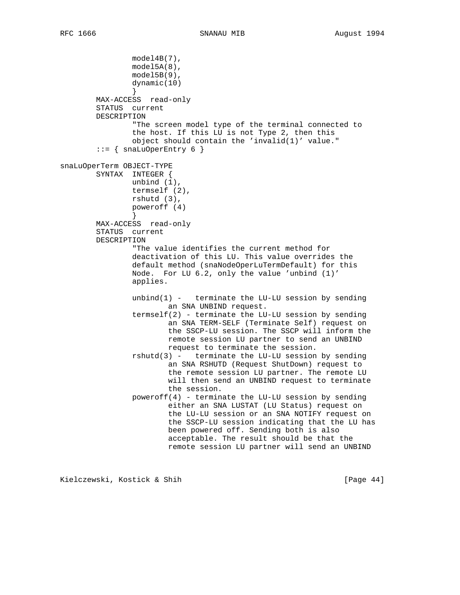```
 model4B(7),
                 model5A(8),
                 model5B(9),
                 dynamic(10)
 }
        MAX-ACCESS read-only
        STATUS current
        DESCRIPTION
                 "The screen model type of the terminal connected to
                 the host. If this LU is not Type 2, then this
                 object should contain the 'invalid(1)' value."
        ::= { snaLuOperEntry 6 }
snaLuOperTerm OBJECT-TYPE
        SYNTAX INTEGER {
                unbind (1),
                termself (2),
                rshutd (3),
                poweroff (4)
 }
        MAX-ACCESS read-only
        STATUS current
        DESCRIPTION
                 "The value identifies the current method for
                 deactivation of this LU. This value overrides the
                 default method (snaNodeOperLuTermDefault) for this
                 Node. For LU 6.2, only the value 'unbind (1)'
                 applies.
                unbind(1) - terminate the LU-LU session by sending
                         an SNA UNBIND request.
                termself(2) - terminate the LU-LU session by sending an SNA TERM-SELF (Terminate Self) request on
                         the SSCP-LU session. The SSCP will inform the
                         remote session LU partner to send an UNBIND
                         request to terminate the session.
                 rshutd(3) - terminate the LU-LU session by sending
                         an SNA RSHUTD (Request ShutDown) request to
                         the remote session LU partner. The remote LU
                         will then send an UNBIND request to terminate
                         the session.
                poweroff(4) - terminate the LU-LU session by sending
                         either an SNA LUSTAT (LU Status) request on
                         the LU-LU session or an SNA NOTIFY request on
                         the SSCP-LU session indicating that the LU has
                         been powered off. Sending both is also
                         acceptable. The result should be that the
                         remote session LU partner will send an UNBIND
```
Kielczewski, Kostick & Shih [Page 44]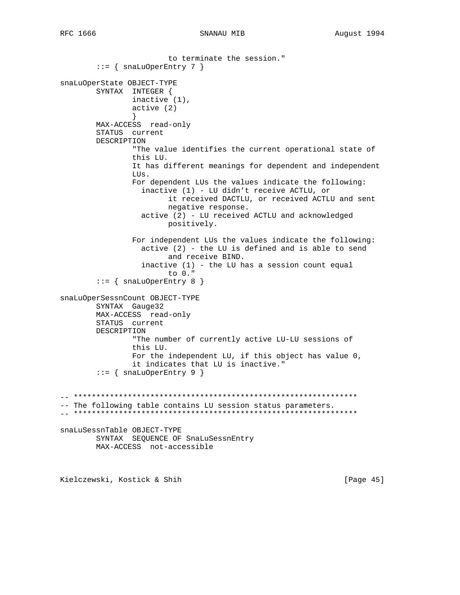```
to terminate the session."
       ::= { snaLuOperEntry 7 }
snaLuOperState OBJECT-TYPE
       SYNTAX INTEGER {
              inactive (1),
              active(2)\left\{ \right.MAX-ACCESS read-only
       STATUS current
       DESCRIPTION
              "The value identifies the current operational state of
              this LU.
              It has different meanings for dependent and independent
              LUs.
              For dependent LUs the values indicate the following:
                inactive (1) - LU didn't receive ACTLU, or
                      it received DACTLU, or received ACTLU and sent
                     negative response.
                active (2) - LU received ACTLU and acknowledged
                     positively.
              For independent LUs the values indicate the following:
                active (2) - the LU is defined and is able to send
                      and receive BIND.
                inactive (1) - the LU has a session count equal
                      to 0."
       ::= { snaLuOperEntry 8 }
snaLuOperSessnCount OBJECT-TYPE
       SYNTAX Gauge32
       MAX-ACCESS read-only
       STATUS current
       DESCRIPTION
              "The number of currently active LU-LU sessions of
              this LU.
              For the independent LU, if this object has value 0,
              it indicates that LU is inactive."
       ::= { snaLuOperEntry 9 }
-- The following table contains LU session status parameters.
snaLuSessnTable OBJECT-TYPE
       SYNTAX SEQUENCE OF SnaLuSessnEntry
       MAX-ACCESS not-accessible
Kielczewski, Kostick & Shih
                                                          [Page 45]
```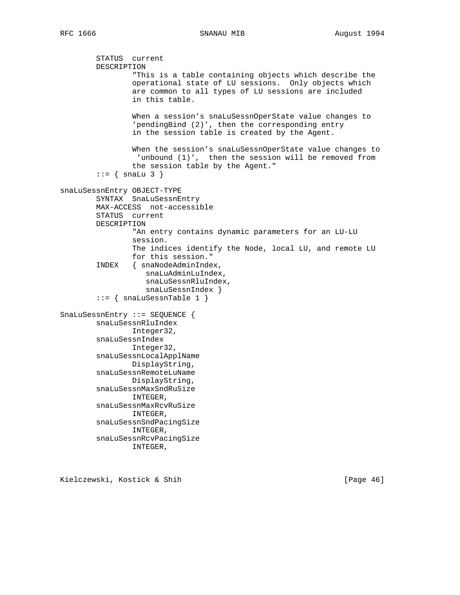```
 STATUS current
         DESCRIPTION
                 "This is a table containing objects which describe the
                 operational state of LU sessions. Only objects which
                 are common to all types of LU sessions are included
                 in this table.
                 When a session's snaLuSessnOperState value changes to
                 'pendingBind (2)', then the corresponding entry
                 in the session table is created by the Agent.
                 When the session's snaLuSessnOperState value changes to
                  'unbound (1)', then the session will be removed from
                 the session table by the Agent."
        ::= { snaLu 3 }
snaLuSessnEntry OBJECT-TYPE
         SYNTAX SnaLuSessnEntry
         MAX-ACCESS not-accessible
         STATUS current
         DESCRIPTION
                 "An entry contains dynamic parameters for an LU-LU
                 session.
                 The indices identify the Node, local LU, and remote LU
                 for this session."
         INDEX { snaNodeAdminIndex,
                    snaLuAdminLuIndex,
                    snaLuSessnRluIndex,
                    snaLuSessnIndex }
        ::= { snaLuSessnTable 1 }
SnaLuSessnEntry ::= SEQUENCE {
         snaLuSessnRluIndex
                Integer32,
         snaLuSessnIndex
                Integer32,
         snaLuSessnLocalApplName
                DisplayString,
         snaLuSessnRemoteLuName
                DisplayString,
         snaLuSessnMaxSndRuSize
                INTEGER,
         snaLuSessnMaxRcvRuSize
                INTEGER,
         snaLuSessnSndPacingSize
                INTEGER,
         snaLuSessnRcvPacingSize
                 INTEGER,
```
Kielczewski, Kostick & Shih [Page 46]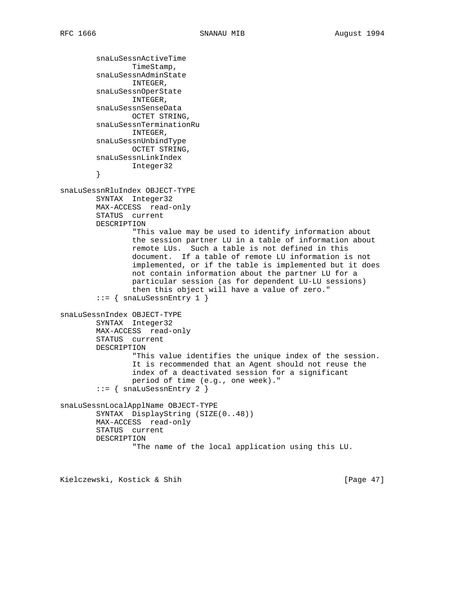```
 snaLuSessnActiveTime
                TimeStamp,
         snaLuSessnAdminState
                 INTEGER,
         snaLuSessnOperState
                 INTEGER,
         snaLuSessnSenseData
                OCTET STRING,
         snaLuSessnTerminationRu
                INTEGER,
         snaLuSessnUnbindType
                OCTET STRING,
         snaLuSessnLinkIndex
                Integer32
         }
snaLuSessnRluIndex OBJECT-TYPE
         SYNTAX Integer32
         MAX-ACCESS read-only
         STATUS current
         DESCRIPTION
                 "This value may be used to identify information about
                 the session partner LU in a table of information about
                 remote LUs. Such a table is not defined in this
                 document. If a table of remote LU information is not
                 implemented, or if the table is implemented but it does
                 not contain information about the partner LU for a
                 particular session (as for dependent LU-LU sessions)
                 then this object will have a value of zero."
        ::= { snaLuSessnEntry 1 }
snaLuSessnIndex OBJECT-TYPE
         SYNTAX Integer32
         MAX-ACCESS read-only
         STATUS current
         DESCRIPTION
                 "This value identifies the unique index of the session.
                 It is recommended that an Agent should not reuse the
                 index of a deactivated session for a significant
                 period of time (e.g., one week)."
         ::= { snaLuSessnEntry 2 }
snaLuSessnLocalApplName OBJECT-TYPE
         SYNTAX DisplayString (SIZE(0..48))
         MAX-ACCESS read-only
         STATUS current
         DESCRIPTION
                 "The name of the local application using this LU.
```
Kielczewski, Kostick & Shih [Page 47]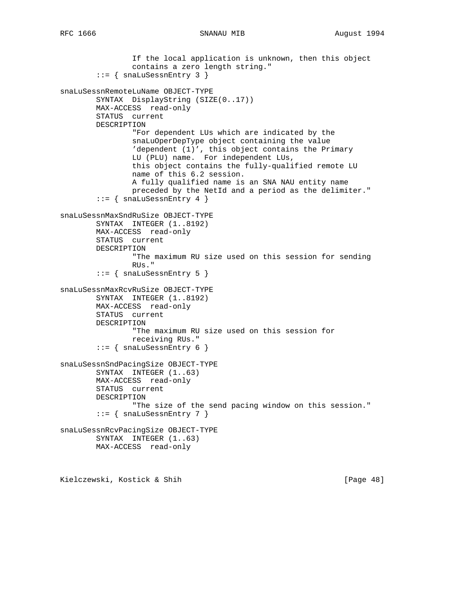If the local application is unknown, then this object contains a zero length string." ::= { snaLuSessnEntry 3 } snaLuSessnRemoteLuName OBJECT-TYPE SYNTAX DisplayString (SIZE(0..17)) MAX-ACCESS read-only STATUS current DESCRIPTION "For dependent LUs which are indicated by the snaLuOperDepType object containing the value 'dependent (1)', this object contains the Primary LU (PLU) name. For independent LUs, this object contains the fully-qualified remote LU name of this 6.2 session. A fully qualified name is an SNA NAU entity name preceded by the NetId and a period as the delimiter."  $::=$  { snaLuSessnEntry 4 } snaLuSessnMaxSndRuSize OBJECT-TYPE SYNTAX INTEGER (1..8192) MAX-ACCESS read-only STATUS current DESCRIPTION "The maximum RU size used on this session for sending RUs."  $::=$  { snaLuSessnEntry 5 } snaLuSessnMaxRcvRuSize OBJECT-TYPE SYNTAX INTEGER (1..8192) MAX-ACCESS read-only STATUS current DESCRIPTION "The maximum RU size used on this session for receiving RUs." ::= { snaLuSessnEntry 6 } snaLuSessnSndPacingSize OBJECT-TYPE SYNTAX INTEGER (1..63) MAX-ACCESS read-only STATUS current DESCRIPTION "The size of the send pacing window on this session."  $::=$  { snaLuSessnEntry 7 } snaLuSessnRcvPacingSize OBJECT-TYPE SYNTAX INTEGER (1..63) MAX-ACCESS read-only

Kielczewski, Kostick & Shih [Page 48]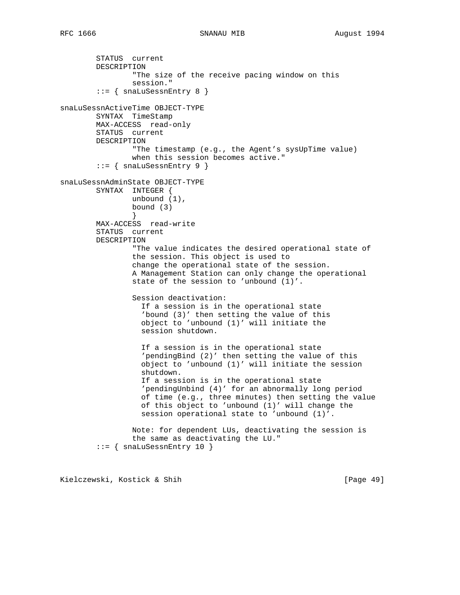```
 STATUS current
         DESCRIPTION
                 "The size of the receive pacing window on this
                 session."
        ::= { snaLuSessnEntry 8 }
snaLuSessnActiveTime OBJECT-TYPE
        SYNTAX TimeStamp
        MAX-ACCESS read-only
         STATUS current
        DESCRIPTION
                 "The timestamp (e.g., the Agent's sysUpTime value)
                 when this session becomes active."
        ::= { snaLuSessnEntry 9 }
snaLuSessnAdminState OBJECT-TYPE
        SYNTAX INTEGER {
                unbound (1),
                bound (3)
 }
        MAX-ACCESS read-write
         STATUS current
        DESCRIPTION
                 "The value indicates the desired operational state of
                 the session. This object is used to
                 change the operational state of the session.
                 A Management Station can only change the operational
                 state of the session to 'unbound (1)'.
                 Session deactivation:
                   If a session is in the operational state
                   'bound (3)' then setting the value of this
                   object to 'unbound (1)' will initiate the
                   session shutdown.
                   If a session is in the operational state
                   'pendingBind (2)' then setting the value of this
                   object to 'unbound (1)' will initiate the session
                   shutdown.
                   If a session is in the operational state
                   'pendingUnbind (4)' for an abnormally long period
                   of time (e.g., three minutes) then setting the value
                   of this object to 'unbound (1)' will change the
                   session operational state to 'unbound (1)'.
                 Note: for dependent LUs, deactivating the session is
                 the same as deactivating the LU."
         ::= { snaLuSessnEntry 10 }
```
Kielczewski, Kostick & Shih [Page 49]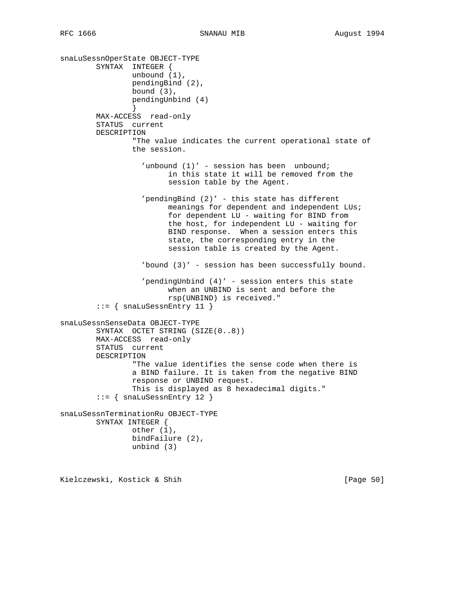snaLuSessnOperState OBJECT-TYPE SYNTAX INTEGER { unbound (1), pendingBind (2), bound (3), pendingUnbind (4) } MAX-ACCESS read-only STATUS current DESCRIPTION "The value indicates the current operational state of the session. 'unbound (1)' - session has been unbound; in this state it will be removed from the session table by the Agent. 'pendingBind (2)' - this state has different meanings for dependent and independent LUs; for dependent LU - waiting for BIND from the host, for independent LU - waiting for BIND response. When a session enters this state, the corresponding entry in the session table is created by the Agent. 'bound (3)' - session has been successfully bound. 'pendingUnbind (4)' - session enters this state when an UNBIND is sent and before the rsp(UNBIND) is received." ::= { snaLuSessnEntry 11 } snaLuSessnSenseData OBJECT-TYPE SYNTAX OCTET STRING (SIZE(0..8)) MAX-ACCESS read-only STATUS current DESCRIPTION "The value identifies the sense code when there is a BIND failure. It is taken from the negative BIND response or UNBIND request. This is displayed as 8 hexadecimal digits." ::= { snaLuSessnEntry 12 } snaLuSessnTerminationRu OBJECT-TYPE SYNTAX INTEGER { other (1), bindFailure (2), unbind (3)

Kielczewski, Kostick & Shih [Page 50]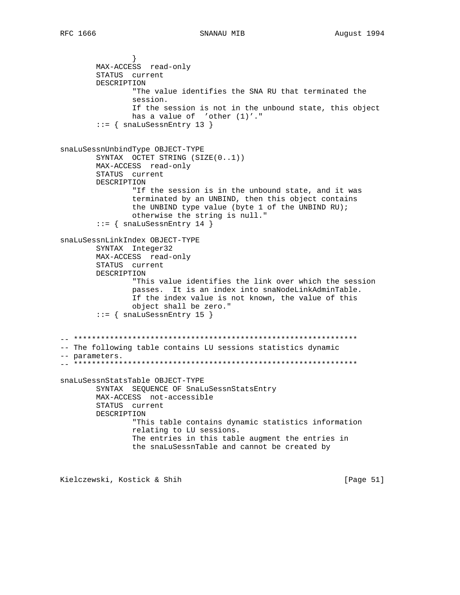MAX-ACCESS read-only STATUS current DESCRIPTION "The value identifies the SNA RU that terminated the session. If the session is not in the unbound state, this object has a value of  $'other(1)'$ ."  $::=$  { snaLuSessnEntry 13 } snaLuSessnUnbindType OBJECT-TYPE SYNTAX OCTET STRING (SIZE(0..1)) MAX-ACCESS read-only STATUS current DESCRIPTION "If the session is in the unbound state, and it was terminated by an UNBIND, then this object contains the UNBIND type value (byte 1 of the UNBIND RU); otherwise the string is null."  $::=$  { snaLuSessnEntry 14 } snaLuSessnLinkIndex OBJECT-TYPE SYNTAX Integer32 MAX-ACCESS read-only STATUS current DESCRIPTION "This value identifies the link over which the session passes. It is an index into snaNodeLinkAdminTable. If the index value is not known, the value of this object shall be zero."  $::=$  { snaLuSessnEntry 15 } -- The following table contains LU sessions statistics dynamic -- parameters. snaLuSessnStatsTable OBJECT-TYPE SYNTAX SEQUENCE OF SnaLuSessnStatsEntry MAX-ACCESS not-accessible STATUS current DESCRIPTION "This table contains dynamic statistics information relating to LU sessions. The entries in this table augment the entries in the snaLuSessnTable and cannot be created by

Kielczewski, Kostick & Shih

[Page 51]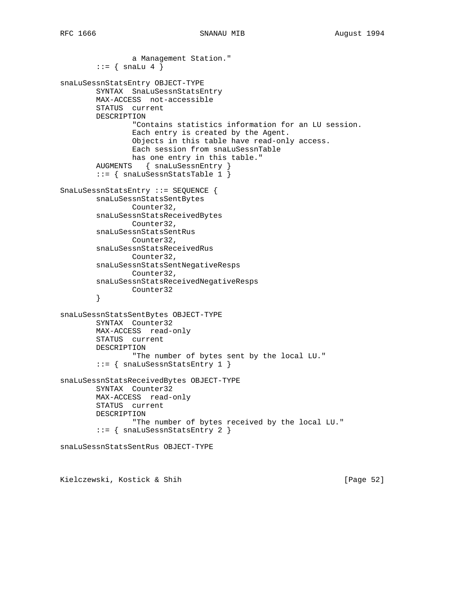```
 a Management Station."
        \cdot \cdot = \{ \text{snalu 4 } \}snaLuSessnStatsEntry OBJECT-TYPE
         SYNTAX SnaLuSessnStatsEntry
         MAX-ACCESS not-accessible
         STATUS current
         DESCRIPTION
                 "Contains statistics information for an LU session.
                 Each entry is created by the Agent.
                 Objects in this table have read-only access.
                 Each session from snaLuSessnTable
                 has one entry in this table."
 AUGMENTS { snaLuSessnEntry }
 ::= { snaLuSessnStatsTable 1 }
SnaLuSessnStatsEntry ::= SEQUENCE {
         snaLuSessnStatsSentBytes
                Counter32,
         snaLuSessnStatsReceivedBytes
                Counter32,
         snaLuSessnStatsSentRus
                Counter32,
         snaLuSessnStatsReceivedRus
                Counter32,
         snaLuSessnStatsSentNegativeResps
                 Counter32,
         snaLuSessnStatsReceivedNegativeResps
                Counter32
         }
snaLuSessnStatsSentBytes OBJECT-TYPE
         SYNTAX Counter32
         MAX-ACCESS read-only
         STATUS current
         DESCRIPTION
                 "The number of bytes sent by the local LU."
         ::= { snaLuSessnStatsEntry 1 }
snaLuSessnStatsReceivedBytes OBJECT-TYPE
         SYNTAX Counter32
         MAX-ACCESS read-only
         STATUS current
         DESCRIPTION
                 "The number of bytes received by the local LU."
         ::= { snaLuSessnStatsEntry 2 }
snaLuSessnStatsSentRus OBJECT-TYPE
```
Kielczewski, Kostick & Shih [Page 52]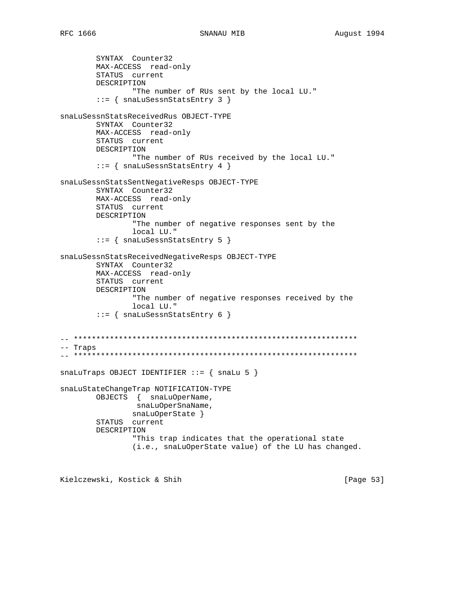```
SNANAU MIB
```
SYNTAX Counter32 MAX-ACCESS read-only STATUS current DESCRIPTION "The number of RUs sent by the local LU."  $::=$  { snaLuSessnStatsEntry 3 } snaLuSessnStatsReceivedRus OBJECT-TYPE SYNTAX Counter32 MAX-ACCESS read-only STATUS current DESCRIPTION "The number of RUs received by the local LU."  $::=$  { snaLuSessnStatsEntry 4 } snaLuSessnStatsSentNegativeResps OBJECT-TYPE SYNTAX Counter32 MAX-ACCESS read-only STATUS current DESCRIPTION "The number of negative responses sent by the local LU."  $::= \{$  snaLuSessnStatsEntry 5  $\}$ snaLuSessnStatsReceivedNegativeResps OBJECT-TYPE SYNTAX Counter32 MAX-ACCESS read-only STATUS current DESCRIPTION "The number of negative responses received by the local LU."  $::= \{ \text{snalussenstatsEntry } 6 \}$ -- Traps snaLuTraps OBJECT IDENTIFIER ::=  $\{$  snaLu 5  $\}$ snaLuStateChangeTrap NOTIFICATION-TYPE OBJECTS { snaLuOperName, snaLuOperSnaName, snaLuOperState } STATUS current DESCRIPTION "This trap indicates that the operational state (i.e., snaLuOperState value) of the LU has changed.

Kielczewski, Kostick & Shih

[Page 53]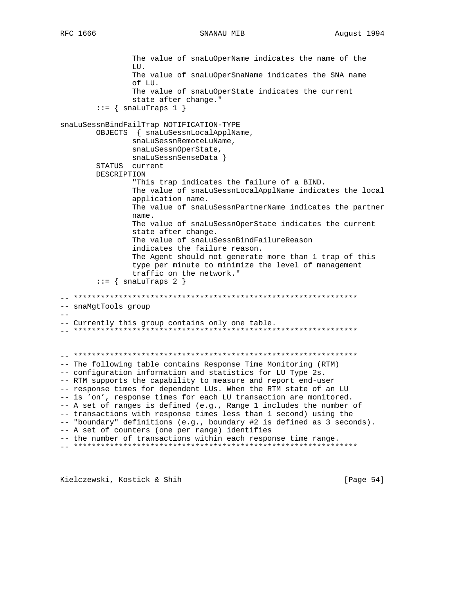SNANAU MIB

The value of snaLuOperName indicates the name of the LU. The value of snaLuOperSnaName indicates the SNA name of LU. The value of snaLuOperState indicates the current state after change."  $::=$  { snaLuTraps 1 } snaLuSessnBindFailTrap NOTIFICATION-TYPE OBJECTS { snaLuSessnLocalApplName, snaLuSessnRemoteLuName, snaLuSessnOperState, snaLuSessnSenseData } STATUS current DESCRIPTION "This trap indicates the failure of a BIND. The value of snaLuSessnLocalApplName indicates the local application name. The value of snaLuSessnPartnerName indicates the partner name. The value of snaLuSessnOperState indicates the current state after change. The value of snaLuSessnBindFailureReason indicates the failure reason. The Agent should not generate more than 1 trap of this type per minute to minimize the level of management traffic on the network."  $::=$  { snaLuTraps 2 } -- snaMqtTools group  $-\,-$ -- Currently this group contains only one table. -- The following table contains Response Time Monitoring (RTM) -- configuration information and statistics for LU Type 2s. -- RTM supports the capability to measure and report end-user -- response times for dependent LUs. When the RTM state of an LU -- is 'on', response times for each LU transaction are monitored. -- A set of ranges is defined (e.g., Range 1 includes the number of -- transactions with response times less than 1 second) using the -- "boundary" definitions (e.g., boundary #2 is defined as 3 seconds). -- A set of counters (one per range) identifies -- the number of transactions within each response time range. 

Kielczewski, Kostick & Shih

[Page  $54$ ]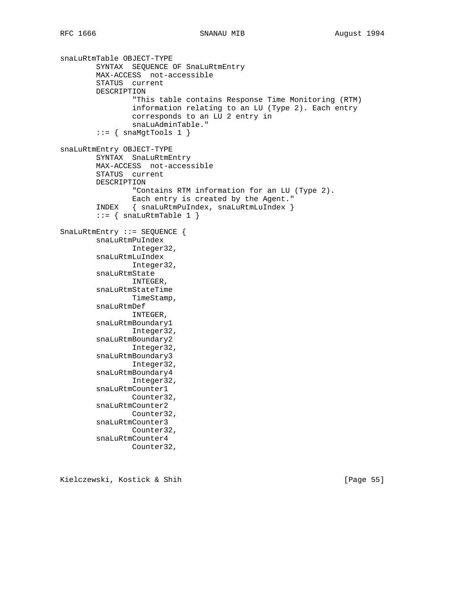```
snaLuRtmTable OBJECT-TYPE
         SYNTAX SEQUENCE OF SnaLuRtmEntry
         MAX-ACCESS not-accessible
         STATUS current
         DESCRIPTION
                 "This table contains Response Time Monitoring (RTM)
                 information relating to an LU (Type 2). Each entry
                 corresponds to an LU 2 entry in
                 snaLuAdminTable."
        ::= { snaMgtTools 1 }
snaLuRtmEntry OBJECT-TYPE
         SYNTAX SnaLuRtmEntry
         MAX-ACCESS not-accessible
         STATUS current
         DESCRIPTION
                 "Contains RTM information for an LU (Type 2).
                 Each entry is created by the Agent."
         INDEX { snaLuRtmPuIndex, snaLuRtmLuIndex }
        ::= { snaLuRtmTable 1 }
SnaLuRtmEntry ::= SEQUENCE {
         snaLuRtmPuIndex
                 Integer32,
         snaLuRtmLuIndex
                 Integer32,
         snaLuRtmState
                 INTEGER,
         snaLuRtmStateTime
                 TimeStamp,
         snaLuRtmDef
                INTEGER,
         snaLuRtmBoundary1
                Integer32,
         snaLuRtmBoundary2
                Integer32,
         snaLuRtmBoundary3
                Integer32,
         snaLuRtmBoundary4
                 Integer32,
         snaLuRtmCounter1
                Counter32,
         snaLuRtmCounter2
                 Counter32,
         snaLuRtmCounter3
                 Counter32,
         snaLuRtmCounter4
                 Counter32,
```
Kielczewski, Kostick & Shih [Page 55]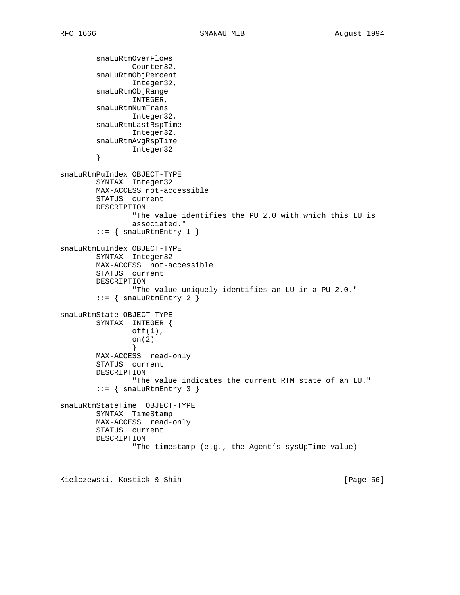```
 snaLuRtmOverFlows
                Counter32,
         snaLuRtmObjPercent
                 Integer32,
         snaLuRtmObjRange
                 INTEGER,
         snaLuRtmNumTrans
                Integer32,
         snaLuRtmLastRspTime
                Integer32,
         snaLuRtmAvgRspTime
                 Integer32
         }
snaLuRtmPuIndex OBJECT-TYPE
         SYNTAX Integer32
         MAX-ACCESS not-accessible
         STATUS current
         DESCRIPTION
                 "The value identifies the PU 2.0 with which this LU is
                 associated."
        ::= { snaLuRtmEntry 1 }
snaLuRtmLuIndex OBJECT-TYPE
         SYNTAX Integer32
         MAX-ACCESS not-accessible
         STATUS current
         DESCRIPTION
                 "The value uniquely identifies an LU in a PU 2.0."
        ::= { snaLuRtmEntry 2 }
snaLuRtmState OBJECT-TYPE
        SYNTAX INTEGER {
                off(1),
                 on(2)
 }
         MAX-ACCESS read-only
         STATUS current
         DESCRIPTION
                 "The value indicates the current RTM state of an LU."
        ::= { snaLuRtmEntry 3 }
snaLuRtmStateTime OBJECT-TYPE
         SYNTAX TimeStamp
         MAX-ACCESS read-only
         STATUS current
         DESCRIPTION
                 "The timestamp (e.g., the Agent's sysUpTime value)
```
Kielczewski, Kostick & Shih [Page 56]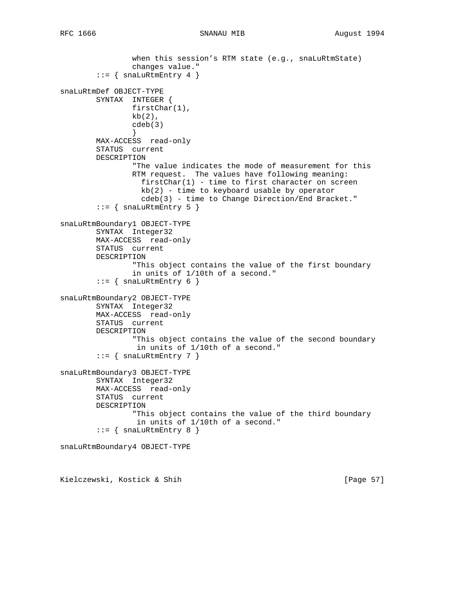```
 when this session's RTM state (e.g., snaLuRtmState)
                changes value."
        ::= { snaLuRtmEntry 4 }
snaLuRtmDef OBJECT-TYPE
        SYNTAX INTEGER {
               firstChar(1),
               kb(2),
                cdeb(3)
 }
        MAX-ACCESS read-only
        STATUS current
        DESCRIPTION
                "The value indicates the mode of measurement for this
                RTM request. The values have following meaning:
                  firstChar(1) - time to first character on screen
                 kb(2) - time to keyboard usable by operator
                  cdeb(3) - time to Change Direction/End Bracket."
        ::= { snaLuRtmEntry 5 }
snaLuRtmBoundary1 OBJECT-TYPE
        SYNTAX Integer32
        MAX-ACCESS read-only
        STATUS current
        DESCRIPTION
                "This object contains the value of the first boundary
                in units of 1/10th of a second."
        ::= { snaLuRtmEntry 6 }
snaLuRtmBoundary2 OBJECT-TYPE
        SYNTAX Integer32
        MAX-ACCESS read-only
        STATUS current
        DESCRIPTION
                 "This object contains the value of the second boundary
                 in units of 1/10th of a second."
        ::= { snaLuRtmEntry 7 }
snaLuRtmBoundary3 OBJECT-TYPE
        SYNTAX Integer32
        MAX-ACCESS read-only
        STATUS current
        DESCRIPTION
                 "This object contains the value of the third boundary
                 in units of 1/10th of a second."
        ::= { snaLuRtmEntry 8 }
snaLuRtmBoundary4 OBJECT-TYPE
Kielczewski, Kostick & Shih [Page 57]
```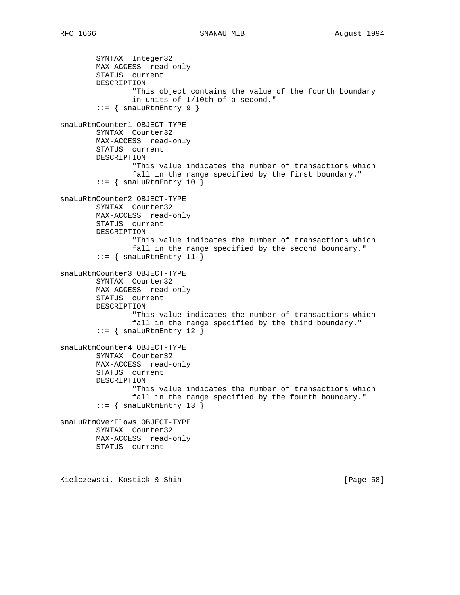```
 SYNTAX Integer32
         MAX-ACCESS read-only
         STATUS current
         DESCRIPTION
                 "This object contains the value of the fourth boundary
                 in units of 1/10th of a second."
        ::= { snaLuRtmEntry 9 }
snaLuRtmCounter1 OBJECT-TYPE
        SYNTAX Counter32
        MAX-ACCESS read-only
        STATUS current
        DESCRIPTION
                 "This value indicates the number of transactions which
                 fall in the range specified by the first boundary."
        ::= { snaLuRtmEntry 10 }
snaLuRtmCounter2 OBJECT-TYPE
        SYNTAX Counter32
        MAX-ACCESS read-only
        STATUS current
        DESCRIPTION
                 "This value indicates the number of transactions which
                 fall in the range specified by the second boundary."
         ::= { snaLuRtmEntry 11 }
snaLuRtmCounter3 OBJECT-TYPE
         SYNTAX Counter32
        MAX-ACCESS read-only
        STATUS current
        DESCRIPTION
                 "This value indicates the number of transactions which
                 fall in the range specified by the third boundary."
        ::= { snaLuRtmEntry 12 }
snaLuRtmCounter4 OBJECT-TYPE
        SYNTAX Counter32
        MAX-ACCESS read-only
         STATUS current
         DESCRIPTION
                 "This value indicates the number of transactions which
                 fall in the range specified by the fourth boundary."
        ::= { snaLuRtmEntry 13 }
snaLuRtmOverFlows OBJECT-TYPE
        SYNTAX Counter32
        MAX-ACCESS read-only
        STATUS current
Kielczewski, Kostick & Shih [Page 58]
```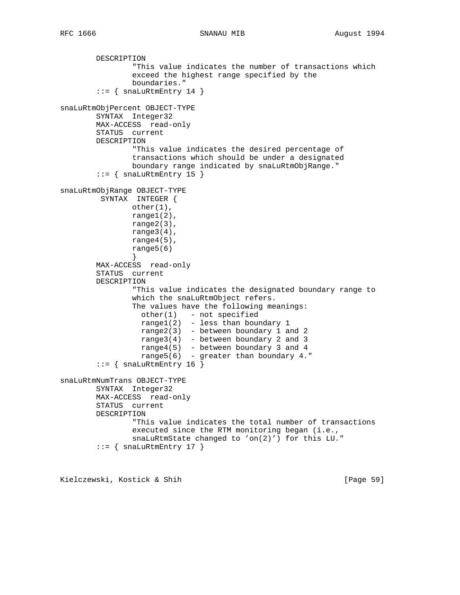```
 DESCRIPTION
                 "This value indicates the number of transactions which
                 exceed the highest range specified by the
                 boundaries."
        ::= { snaLuRtmEntry 14 }
snaLuRtmObjPercent OBJECT-TYPE
        SYNTAX Integer32
        MAX-ACCESS read-only
         STATUS current
        DESCRIPTION
                 "This value indicates the desired percentage of
                 transactions which should be under a designated
                 boundary range indicated by snaLuRtmObjRange."
        ::= { snaLuRtmEntry 15 }
snaLuRtmObjRange OBJECT-TYPE
         SYNTAX INTEGER {
                other(1),
                range1(2),
                range2(3),
               range3(4),
                range4(5),
                range5(6)
 }
         MAX-ACCESS read-only
         STATUS current
         DESCRIPTION
                 "This value indicates the designated boundary range to
                 which the snaLuRtmObject refers.
                 The values have the following meanings:
                 other(1) - not specified
                 range1(2) - less than boundary 1
                  range2(3) - between boundary 1 and 2
                  range3(4) - between boundary 2 and 3
                 range4(5) - between boundary 3 and 4
                 range5(6) - greater than boundary 4."
        ::= { snaLuRtmEntry 16 }
snaLuRtmNumTrans OBJECT-TYPE
        SYNTAX Integer32
        MAX-ACCESS read-only
         STATUS current
        DESCRIPTION
                 "This value indicates the total number of transactions
                 executed since the RTM monitoring began (i.e.,
                 snaLuRtmState changed to 'on(2)') for this LU."
        ::= { snaLuRtmEntry 17 }
```
Kielczewski, Kostick & Shih [Page 59]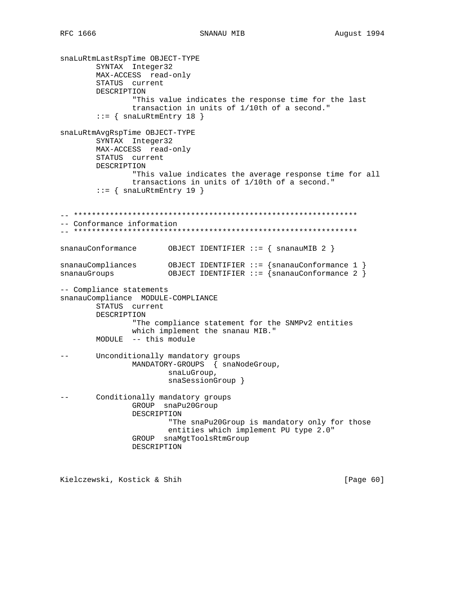snaLuRtmLastRspTime OBJECT-TYPE SYNTAX Integer32 MAX-ACCESS read-only STATUS current DESCRIPTION "This value indicates the response time for the last transaction in units of 1/10th of a second."  $::=$  { snaLuRtmEntry 18 } snaLuRtmAvqRspTime OBJECT-TYPE SYNTAX Integer32 MAX-ACCESS read-only STATUS current DESCRIPTION "This value indicates the average response time for all transactions in units of 1/10th of a second."  $::=$  { snaLuRtmEntry 19 } -- Conformance information  $\verb|snanauConformance| 0 \verb|BJECT IDENTIFYER : := { snanauMIB 2 } |$  $\verb|snanauCompliances|0BJECT IDENTIFIER :: = \{snanauConformance 1 } \verb|snanauGroups|0BJECT IDENTIFIER :: = \{snanauConformance 2 } \}$ -- Compliance statements snanauCompliance MODULE-COMPLIANCE STATUS current DESCRIPTION "The compliance statement for the SNMPv2 entities which implement the snanau MIB." MODULE -- this module Unconditionally mandatory groups  $- -$ MANDATORY-GROUPS { snaNodeGroup, snaLuGroup, snaSessionGroup } Conditionally mandatory groups  $- -$ GROUP snaPu20Group DESCRIPTION "The snaPu20Group is mandatory only for those entities which implement PU type 2.0" GROUP snaMgtToolsRtmGroup DESCRIPTION

Kielczewski, Kostick & Shih

[Page  $60$ ]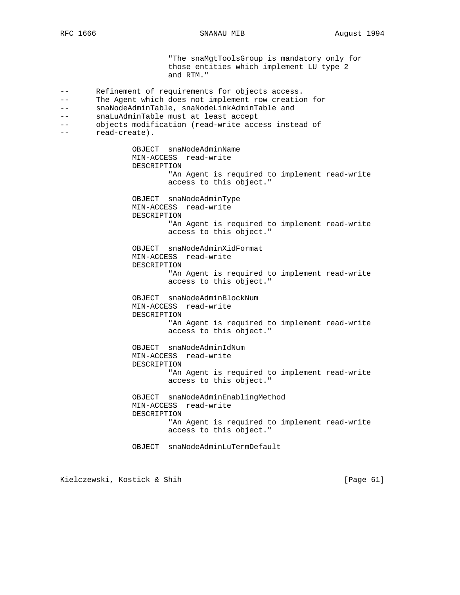"The snaMgtToolsGroup is mandatory only for those entities which implement LU type 2 and RTM." -- Refinement of requirements for objects access. -- The Agent which does not implement row creation for -- snaNodeAdminTable, snaNodeLinkAdminTable and -- snaLuAdminTable must at least accept -- objects modification (read-write access instead of -- read-create). OBJECT snaNodeAdminName MIN-ACCESS read-write DESCRIPTION "An Agent is required to implement read-write access to this object." OBJECT snaNodeAdminType MIN-ACCESS read-write DESCRIPTION "An Agent is required to implement read-write access to this object." OBJECT snaNodeAdminXidFormat MIN-ACCESS read-write DESCRIPTION "An Agent is required to implement read-write access to this object." OBJECT snaNodeAdminBlockNum MIN-ACCESS read-write DESCRIPTION "An Agent is required to implement read-write access to this object." OBJECT snaNodeAdminIdNum MIN-ACCESS read-write DESCRIPTION "An Agent is required to implement read-write access to this object." OBJECT snaNodeAdminEnablingMethod MIN-ACCESS read-write DESCRIPTION "An Agent is required to implement read-write access to this object." OBJECT snaNodeAdminLuTermDefault

Kielczewski, Kostick & Shih [Page 61]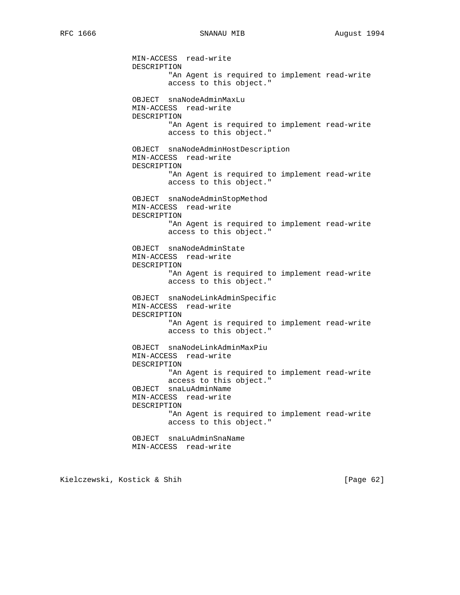MIN-ACCESS read-write DESCRIPTION "An Agent is required to implement read-write access to this object." OBJECT snaNodeAdminMaxLu MIN-ACCESS read-write DESCRIPTION "An Agent is required to implement read-write access to this object." OBJECT snaNodeAdminHostDescription MIN-ACCESS read-write DESCRIPTION "An Agent is required to implement read-write access to this object." OBJECT snaNodeAdminStopMethod MIN-ACCESS read-write DESCRIPTION "An Agent is required to implement read-write access to this object." OBJECT snaNodeAdminState MIN-ACCESS read-write DESCRIPTION "An Agent is required to implement read-write access to this object." OBJECT snaNodeLinkAdminSpecific MIN-ACCESS read-write DESCRIPTION "An Agent is required to implement read-write access to this object." OBJECT snaNodeLinkAdminMaxPiu MIN-ACCESS read-write DESCRIPTION "An Agent is required to implement read-write access to this object." OBJECT snaLuAdminName MIN-ACCESS read-write DESCRIPTION "An Agent is required to implement read-write access to this object." OBJECT snaLuAdminSnaName MIN-ACCESS read-write

Kielczewski, Kostick & Shih [Page 62]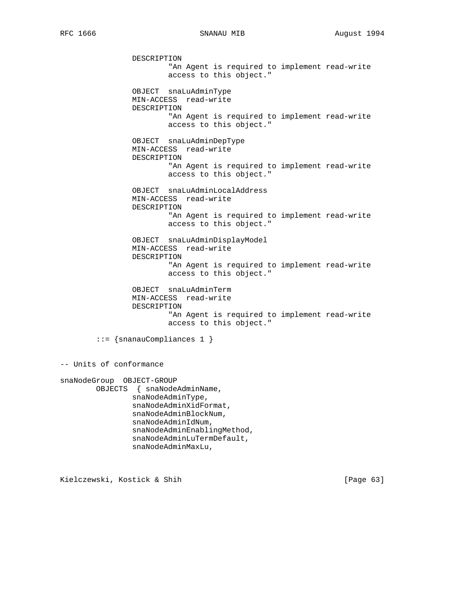RFC 1666 SNANAU MIB August 1994

 DESCRIPTION "An Agent is required to implement read-write access to this object." OBJECT snaLuAdminType MIN-ACCESS read-write DESCRIPTION "An Agent is required to implement read-write access to this object." OBJECT snaLuAdminDepType MIN-ACCESS read-write DESCRIPTION "An Agent is required to implement read-write access to this object." OBJECT snaLuAdminLocalAddress MIN-ACCESS read-write DESCRIPTION "An Agent is required to implement read-write access to this object." OBJECT snaLuAdminDisplayModel MIN-ACCESS read-write DESCRIPTION "An Agent is required to implement read-write access to this object." OBJECT snaLuAdminTerm MIN-ACCESS read-write DESCRIPTION "An Agent is required to implement read-write access to this object." ::= {snanauCompliances 1 } -- Units of conformance snaNodeGroup OBJECT-GROUP OBJECTS { snaNodeAdminName, snaNodeAdminType, snaNodeAdminXidFormat, snaNodeAdminBlockNum, snaNodeAdminIdNum, snaNodeAdminEnablingMethod, snaNodeAdminLuTermDefault, snaNodeAdminMaxLu,

Kielczewski, Kostick & Shih [Page 63]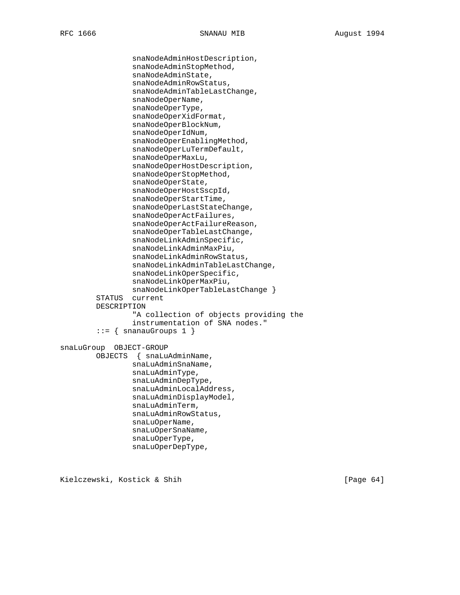snaNodeAdminHostDescription, snaNodeAdminStopMethod, snaNodeAdminState, snaNodeAdminRowStatus, snaNodeAdminTableLastChange, snaNodeOperName, snaNodeOperType, snaNodeOperXidFormat, snaNodeOperBlockNum, snaNodeOperIdNum, snaNodeOperEnablingMethod, snaNodeOperLuTermDefault, snaNodeOperMaxLu, snaNodeOperHostDescription, snaNodeOperStopMethod, snaNodeOperState, snaNodeOperHostSscpId, snaNodeOperStartTime, snaNodeOperLastStateChange, snaNodeOperActFailures, snaNodeOperActFailureReason, snaNodeOperTableLastChange, snaNodeLinkAdminSpecific, snaNodeLinkAdminMaxPiu, snaNodeLinkAdminRowStatus, snaNodeLinkAdminTableLastChange, snaNodeLinkOperSpecific, snaNodeLinkOperMaxPiu, snaNodeLinkOperTableLastChange } STATUS current DESCRIPTION "A collection of objects providing the instrumentation of SNA nodes."  $::=$  { snanauGroups 1 } snaLuGroup OBJECT-GROUP OBJECTS { snaLuAdminName, snaLuAdminSnaName, snaLuAdminType, snaLuAdminDepType, snaLuAdminLocalAddress, snaLuAdminDisplayModel, snaLuAdminTerm, snaLuAdminRowStatus, snaLuOperName, snaLuOperSnaName, snaLuOperType, snaLuOperDepType,

Kielczewski, Kostick & Shih [Page 64]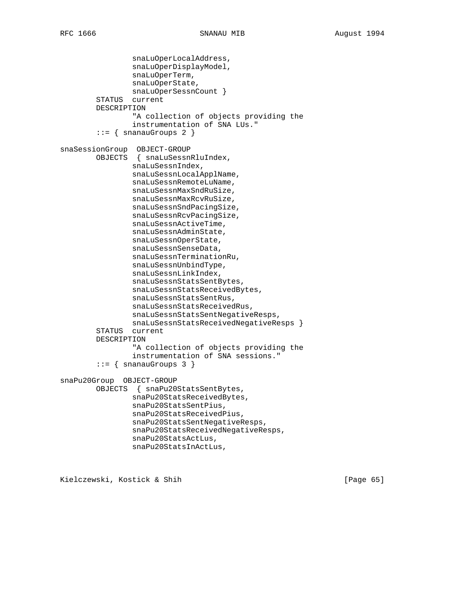```
 snaLuOperLocalAddress,
                  snaLuOperDisplayModel,
                  snaLuOperTerm,
                  snaLuOperState,
                 snaLuOperSessnCount }
         STATUS current
         DESCRIPTION
                  "A collection of objects providing the
                  instrumentation of SNA LUs."
        ::= { snanauGroups 2 }
snaSessionGroup OBJECT-GROUP
         OBJECTS { snaLuSessnRluIndex,
                 snaLuSessnIndex,
                  snaLuSessnLocalApplName,
                  snaLuSessnRemoteLuName,
                 snaLuSessnMaxSndRuSize,
                 snaLuSessnMaxRcvRuSize,
                 snaLuSessnSndPacingSize,
                 snaLuSessnRcvPacingSize,
                 snaLuSessnActiveTime,
                 snaLuSessnAdminState,
                 snaLuSessnOperState,
                 snaLuSessnSenseData,
                 snaLuSessnTerminationRu,
                  snaLuSessnUnbindType,
                  snaLuSessnLinkIndex,
                 snaLuSessnStatsSentBytes,
                 snaLuSessnStatsReceivedBytes,
                 snaLuSessnStatsSentRus,
                 snaLuSessnStatsReceivedRus,
                 snaLuSessnStatsSentNegativeResps,
                 snaLuSessnStatsReceivedNegativeResps }
         STATUS current
         DESCRIPTION
                  "A collection of objects providing the
                  instrumentation of SNA sessions."
        ::= { snanauGroups 3 }
snaPu20Group OBJECT-GROUP
         OBJECTS { snaPu20StatsSentBytes,
                 snaPu20StatsReceivedBytes,
                 snaPu20StatsSentPius,
                  snaPu20StatsReceivedPius,
                 snaPu20StatsSentNegativeResps,
                 snaPu20StatsReceivedNegativeResps,
                 snaPu20StatsActLus,
                 snaPu20StatsInActLus,
```
Kielczewski, Kostick & Shih [Page 65]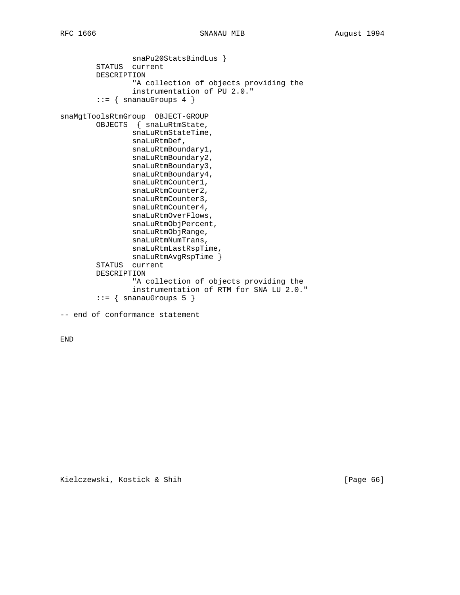snaPu20StatsBindLus } STATUS current DESCRIPTION "A collection of objects providing the instrumentation of PU 2.0."  $::=$  { snanauGroups 4 } snaMgtToolsRtmGroup OBJECT-GROUP OBJECTS { snaLuRtmState, snaLuRtmStateTime, snaLuRtmDef, snaLuRtmBoundary1, snaLuRtmBoundary2, snaLuRtmBoundary3, snaLuRtmBoundary4, snaLuRtmCounter1, snaLuRtmCounter2, snaLuRtmCounter3, snaLuRtmCounter4, snaLuRtmOverFlows, snaLuRtmObjPercent, snaLuRtmObjRange, snaLuRtmNumTrans, snaLuRtmLastRspTime, snaLuRtmAvgRspTime } STATUS current DESCRIPTION "A collection of objects providing the instrumentation of RTM for SNA LU 2.0."  $::=$  { snanauGroups 5 } -- end of conformance statement

END

Kielczewski, Kostick & Shih [Page 66]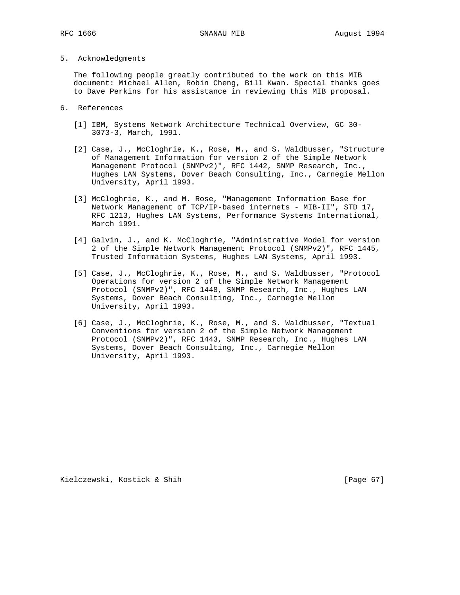## 5. Acknowledgments

 The following people greatly contributed to the work on this MIB document: Michael Allen, Robin Cheng, Bill Kwan. Special thanks goes to Dave Perkins for his assistance in reviewing this MIB proposal.

- 6. References
	- [1] IBM, Systems Network Architecture Technical Overview, GC 30- 3073-3, March, 1991.
	- [2] Case, J., McCloghrie, K., Rose, M., and S. Waldbusser, "Structure of Management Information for version 2 of the Simple Network Management Protocol (SNMPv2)", RFC 1442, SNMP Research, Inc., Hughes LAN Systems, Dover Beach Consulting, Inc., Carnegie Mellon University, April 1993.
	- [3] McCloghrie, K., and M. Rose, "Management Information Base for Network Management of TCP/IP-based internets - MIB-II", STD 17, RFC 1213, Hughes LAN Systems, Performance Systems International, March 1991.
	- [4] Galvin, J., and K. McCloghrie, "Administrative Model for version 2 of the Simple Network Management Protocol (SNMPv2)", RFC 1445, Trusted Information Systems, Hughes LAN Systems, April 1993.
	- [5] Case, J., McCloghrie, K., Rose, M., and S. Waldbusser, "Protocol Operations for version 2 of the Simple Network Management Protocol (SNMPv2)", RFC 1448, SNMP Research, Inc., Hughes LAN Systems, Dover Beach Consulting, Inc., Carnegie Mellon University, April 1993.
	- [6] Case, J., McCloghrie, K., Rose, M., and S. Waldbusser, "Textual Conventions for version 2 of the Simple Network Management Protocol (SNMPv2)", RFC 1443, SNMP Research, Inc., Hughes LAN Systems, Dover Beach Consulting, Inc., Carnegie Mellon University, April 1993.

Kielczewski, Kostick & Shih [Page 67]